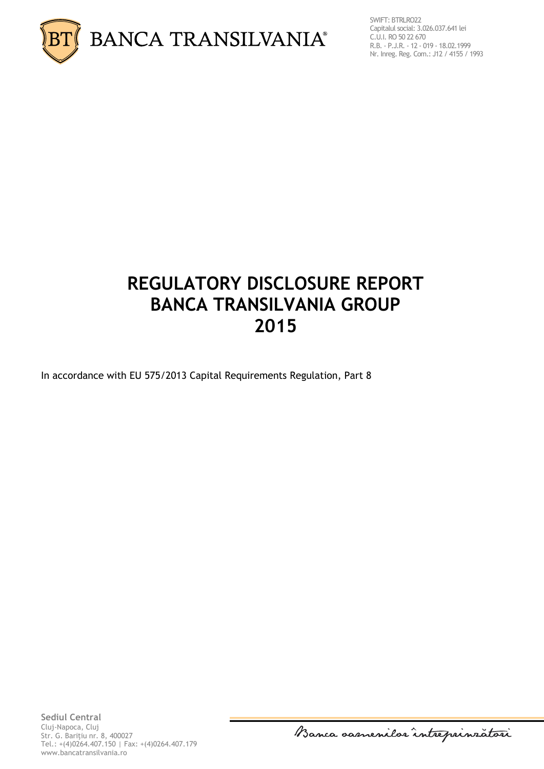

SWIFT: BTRLRO22 Capitalul social: 3.026.037.641 lei C.U.I. RO 50 22 670 R.B. - P.J.R. - 12 - 019 - 18.02.1999 Nr. Inreg. Reg. Com.: J12 / 4155 / 1993

# **REGULATORY DISCLOSURE REPORT BANCA TRANSILVANIA GROUP 2015**

In accordance with EU 575/2013 Capital Requirements Regulation, Part 8

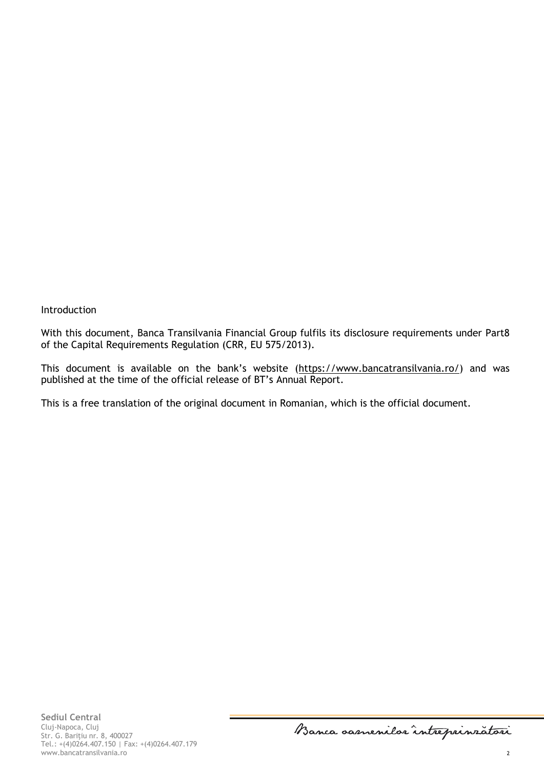Introduction

With this document, Banca Transilvania Financial Group fulfils its disclosure requirements under Part8 of the Capital Requirements Regulation (CRR, EU 575/2013).

This document is available on the bank's website ([https://www.bancatransilvania.ro/\)](https://www.bancatransilvania.ro/) and was published at the time of the official release of BT's Annual Report.

This is a free translation of the original document in Romanian, which is the official document.

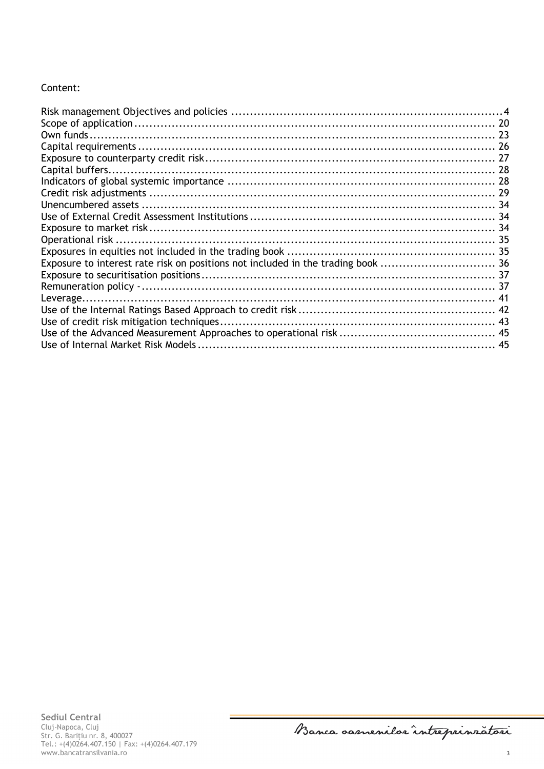## Content:

| Exposure to interest rate risk on positions not included in the trading book  36 |  |
|----------------------------------------------------------------------------------|--|
|                                                                                  |  |
|                                                                                  |  |
|                                                                                  |  |
|                                                                                  |  |
|                                                                                  |  |
|                                                                                  |  |
|                                                                                  |  |

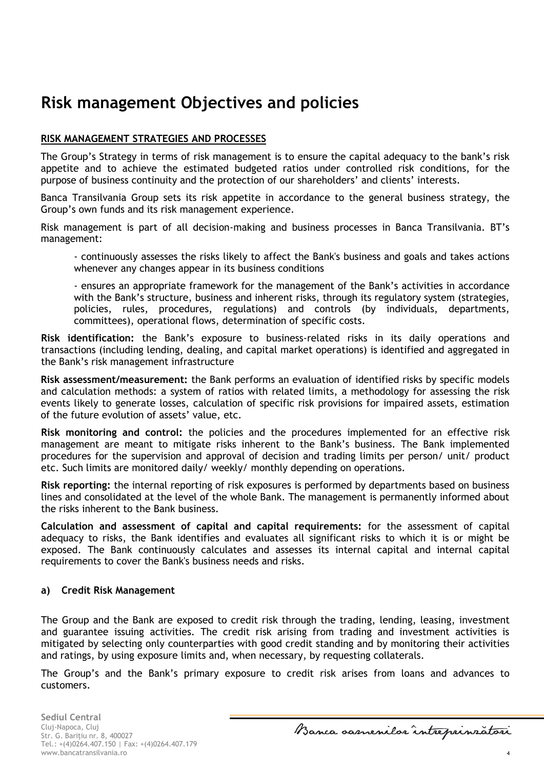## <span id="page-3-0"></span>**Risk management Objectives and policies**

## **RISK MANAGEMENT STRATEGIES AND PROCESSES**

The Group's Strategy in terms of risk management is to ensure the capital adequacy to the bank's risk appetite and to achieve the estimated budgeted ratios under controlled risk conditions, for the purpose of business continuity and the protection of our shareholders' and clients' interests.

Banca Transilvania Group sets its risk appetite in accordance to the general business strategy, the Group's own funds and its risk management experience.

Risk management is part of all decision-making and business processes in Banca Transilvania. BT's management:

- continuously assesses the risks likely to affect the Bank's business and goals and takes actions whenever any changes appear in its business conditions

- ensures an appropriate framework for the management of the Bank's activities in accordance with the Bank's structure, business and inherent risks, through its regulatory system (strategies, policies, rules, procedures, regulations) and controls (by individuals, departments, committees), operational flows, determination of specific costs.

**Risk identification:** the Bank's exposure to business-related risks in its daily operations and transactions (including lending, dealing, and capital market operations) is identified and aggregated in the Bank's risk management infrastructure

**Risk assessment/measurement:** the Bank performs an evaluation of identified risks by specific models and calculation methods: a system of ratios with related limits, a methodology for assessing the risk events likely to generate losses, calculation of specific risk provisions for impaired assets, estimation of the future evolution of assets' value, etc.

**Risk monitoring and control:** the policies and the procedures implemented for an effective risk management are meant to mitigate risks inherent to the Bank's business. The Bank implemented procedures for the supervision and approval of decision and trading limits per person/ unit/ product etc. Such limits are monitored daily/ weekly/ monthly depending on operations.

**Risk reporting:** the internal reporting of risk exposures is performed by departments based on business lines and consolidated at the level of the whole Bank. The management is permanently informed about the risks inherent to the Bank business.

**Calculation and assessment of capital and capital requirements:** for the assessment of capital adequacy to risks, the Bank identifies and evaluates all significant risks to which it is or might be exposed. The Bank continuously calculates and assesses its internal capital and internal capital requirements to cover the Bank's business needs and risks.

### **a) Credit Risk Management**

The Group and the Bank are exposed to credit risk through the trading, lending, leasing, investment and guarantee issuing activities. The credit risk arising from trading and investment activities is mitigated by selecting only counterparties with good credit standing and by monitoring their activities and ratings, by using exposure limits and, when necessary, by requesting collaterals.

The Group's and the Bank's primary exposure to credit risk arises from loans and advances to customers.

**Sediul Central** Cluj-Napoca, Cluj Str. G. Bariţiu nr. 8, 400027 Tel.: +(4)0264.407.150 | Fax: +(4)0264.407.179 www.bancatransilvania.ro 4

Banca oasnenilor intreprinratori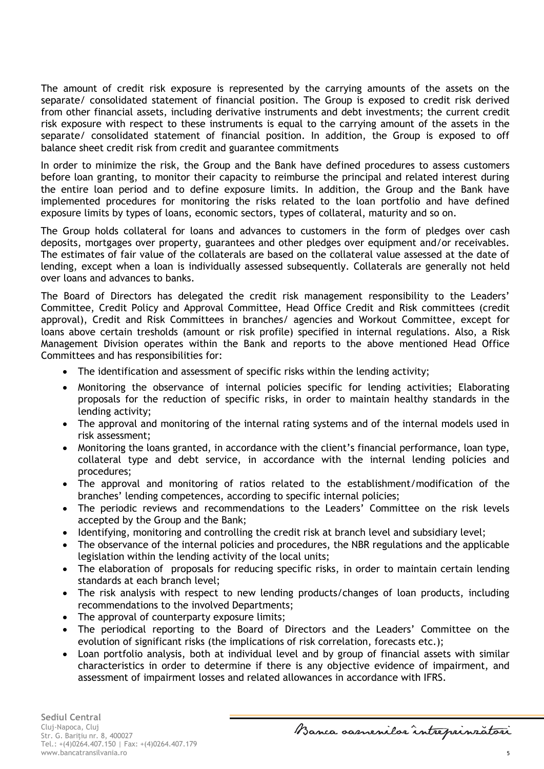The amount of credit risk exposure is represented by the carrying amounts of the assets on the separate/ consolidated statement of financial position. The Group is exposed to credit risk derived from other financial assets, including derivative instruments and debt investments; the current credit risk exposure with respect to these instruments is equal to the carrying amount of the assets in the separate/ consolidated statement of financial position. In addition, the Group is exposed to off balance sheet credit risk from credit and guarantee commitments

In order to minimize the risk, the Group and the Bank have defined procedures to assess customers before loan granting, to monitor their capacity to reimburse the principal and related interest during the entire loan period and to define exposure limits. In addition, the Group and the Bank have implemented procedures for monitoring the risks related to the loan portfolio and have defined exposure limits by types of loans, economic sectors, types of collateral, maturity and so on.

The Group holds collateral for loans and advances to customers in the form of pledges over cash deposits, mortgages over property, guarantees and other pledges over equipment and/or receivables. The estimates of fair value of the collaterals are based on the collateral value assessed at the date of lending, except when a loan is individually assessed subsequently. Collaterals are generally not held over loans and advances to banks.

The Board of Directors has delegated the credit risk management responsibility to the Leaders' Committee, Credit Policy and Approval Committee, Head Office Credit and Risk committees (credit approval), Credit and Risk Committees in branches/ agencies and Workout Committee, except for loans above certain tresholds (amount or risk profile) specified in internal regulations. Also, a Risk Management Division operates within the Bank and reports to the above mentioned Head Office Committees and has responsibilities for:

- The identification and assessment of specific risks within the lending activity;
- Monitoring the observance of internal policies specific for lending activities; Elaborating proposals for the reduction of specific risks, in order to maintain healthy standards in the lending activity;
- The approval and monitoring of the internal rating systems and of the internal models used in risk assessment;
- Monitoring the loans granted, in accordance with the client's financial performance, loan type, collateral type and debt service, in accordance with the internal lending policies and procedures;
- The approval and monitoring of ratios related to the establishment/modification of the branches' lending competences, according to specific internal policies;
- The periodic reviews and recommendations to the Leaders' Committee on the risk levels accepted by the Group and the Bank;
- Identifying, monitoring and controlling the credit risk at branch level and subsidiary level;
- The observance of the internal policies and procedures, the NBR regulations and the applicable legislation within the lending activity of the local units;
- The elaboration of proposals for reducing specific risks, in order to maintain certain lending standards at each branch level;
- The risk analysis with respect to new lending products/changes of loan products, including recommendations to the involved Departments;
- The approval of counterparty exposure limits;
- The periodical reporting to the Board of Directors and the Leaders' Committee on the evolution of significant risks (the implications of risk correlation, forecasts etc.);
- Loan portfolio analysis, both at individual level and by group of financial assets with similar characteristics in order to determine if there is any objective evidence of impairment, and assessment of impairment losses and related allowances in accordance with IFRS.

Banca samenilar intreprinratori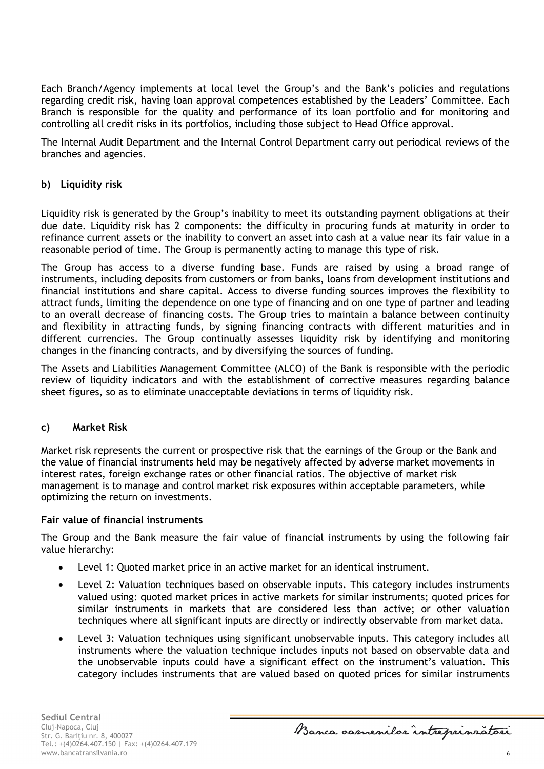Each Branch/Agency implements at local level the Group's and the Bank's policies and regulations regarding credit risk, having loan approval competences established by the Leaders' Committee. Each Branch is responsible for the quality and performance of its loan portfolio and for monitoring and controlling all credit risks in its portfolios, including those subject to Head Office approval.

The Internal Audit Department and the Internal Control Department carry out periodical reviews of the branches and agencies.

### **b) Liquidity risk**

Liquidity risk is generated by the Group's inability to meet its outstanding payment obligations at their due date. Liquidity risk has 2 components: the difficulty in procuring funds at maturity in order to refinance current assets or the inability to convert an asset into cash at a value near its fair value in a reasonable period of time. The Group is permanently acting to manage this type of risk.

The Group has access to a diverse funding base. Funds are raised by using a broad range of instruments, including deposits from customers or from banks, loans from development institutions and financial institutions and share capital. Access to diverse funding sources improves the flexibility to attract funds, limiting the dependence on one type of financing and on one type of partner and leading to an overall decrease of financing costs. The Group tries to maintain a balance between continuity and flexibility in attracting funds, by signing financing contracts with different maturities and in different currencies. The Group continually assesses liquidity risk by identifying and monitoring changes in the financing contracts, and by diversifying the sources of funding.

The Assets and Liabilities Management Committee (ALCO) of the Bank is responsible with the periodic review of liquidity indicators and with the establishment of corrective measures regarding balance sheet figures, so as to eliminate unacceptable deviations in terms of liquidity risk.

#### **c) Market Risk**

Market risk represents the current or prospective risk that the earnings of the Group or the Bank and the value of financial instruments held may be negatively affected by adverse market movements in interest rates, foreign exchange rates or other financial ratios. The objective of market risk management is to manage and control market risk exposures within acceptable parameters, while optimizing the return on investments.

#### **Fair value of financial instruments**

The Group and the Bank measure the fair value of financial instruments by using the following fair value hierarchy:

- Level 1: Quoted market price in an active market for an identical instrument.
- Level 2: Valuation techniques based on observable inputs. This category includes instruments valued using: quoted market prices in active markets for similar instruments; quoted prices for similar instruments in markets that are considered less than active; or other valuation techniques where all significant inputs are directly or indirectly observable from market data.
- Level 3: Valuation techniques using significant unobservable inputs. This category includes all instruments where the valuation technique includes inputs not based on observable data and the unobservable inputs could have a significant effect on the instrument's valuation. This category includes instruments that are valued based on quoted prices for similar instruments

Banca samenilar intreprinratori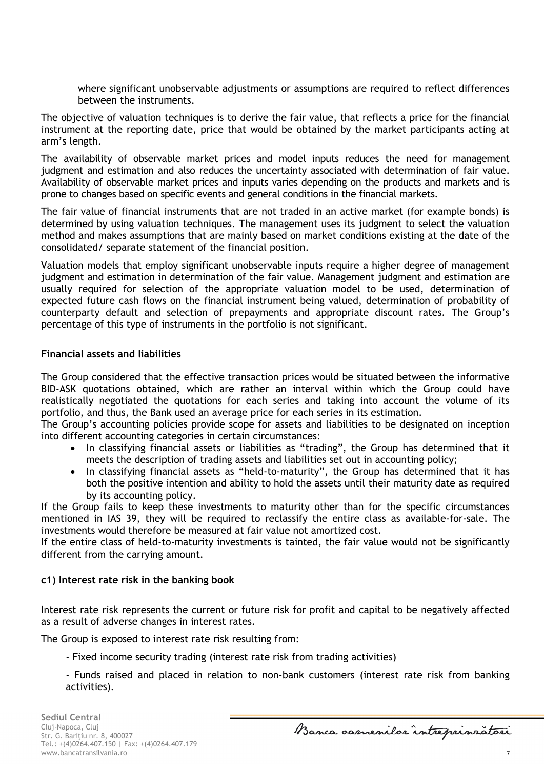where significant unobservable adjustments or assumptions are required to reflect differences between the instruments.

The objective of valuation techniques is to derive the fair value, that reflects a price for the financial instrument at the reporting date, price that would be obtained by the market participants acting at arm's length.

The availability of observable market prices and model inputs reduces the need for management judgment and estimation and also reduces the uncertainty associated with determination of fair value. Availability of observable market prices and inputs varies depending on the products and markets and is prone to changes based on specific events and general conditions in the financial markets.

The fair value of financial instruments that are not traded in an active market (for example bonds) is determined by using valuation techniques. The management uses its judgment to select the valuation method and makes assumptions that are mainly based on market conditions existing at the date of the consolidated/ separate statement of the financial position.

Valuation models that employ significant unobservable inputs require a higher degree of management judgment and estimation in determination of the fair value. Management judgment and estimation are usually required for selection of the appropriate valuation model to be used, determination of expected future cash flows on the financial instrument being valued, determination of probability of counterparty default and selection of prepayments and appropriate discount rates. The Group's percentage of this type of instruments in the portfolio is not significant.

## **Financial assets and liabilities**

The Group considered that the effective transaction prices would be situated between the informative BID-ASK quotations obtained, which are rather an interval within which the Group could have realistically negotiated the quotations for each series and taking into account the volume of its portfolio, and thus, the Bank used an average price for each series in its estimation.

The Group's accounting policies provide scope for assets and liabilities to be designated on inception into different accounting categories in certain circumstances:

- In classifying financial assets or liabilities as "trading", the Group has determined that it meets the description of trading assets and liabilities set out in accounting policy;
- In classifying financial assets as "held-to-maturity", the Group has determined that it has both the positive intention and ability to hold the assets until their maturity date as required by its accounting policy.

If the Group fails to keep these investments to maturity other than for the specific circumstances mentioned in IAS 39, they will be required to reclassify the entire class as available-for-sale. The investments would therefore be measured at fair value not amortized cost.

If the entire class of held-to-maturity investments is tainted, the fair value would not be significantly different from the carrying amount.

### **c1) Interest rate risk in the banking book**

Interest rate risk represents the current or future risk for profit and capital to be negatively affected as a result of adverse changes in interest rates.

The Group is exposed to interest rate risk resulting from:

- Fixed income security trading (interest rate risk from trading activities)
- Funds raised and placed in relation to non-bank customers (interest rate risk from banking activities).

Banca samenilar intreprinratori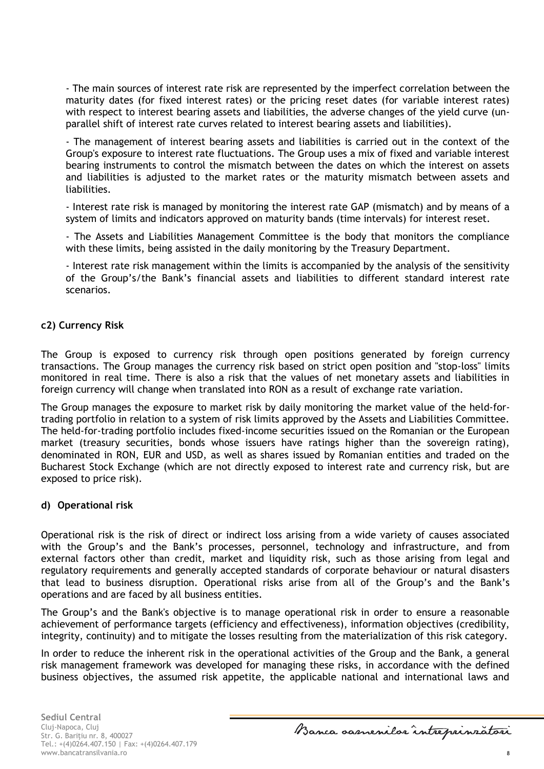- The main sources of interest rate risk are represented by the imperfect correlation between the maturity dates (for fixed interest rates) or the pricing reset dates (for variable interest rates) with respect to interest bearing assets and liabilities, the adverse changes of the yield curve (unparallel shift of interest rate curves related to interest bearing assets and liabilities).

- The management of interest bearing assets and liabilities is carried out in the context of the Group's exposure to interest rate fluctuations. The Group uses a mix of fixed and variable interest bearing instruments to control the mismatch between the dates on which the interest on assets and liabilities is adjusted to the market rates or the maturity mismatch between assets and liabilities.

- Interest rate risk is managed by monitoring the interest rate GAP (mismatch) and by means of a system of limits and indicators approved on maturity bands (time intervals) for interest reset.

- The Assets and Liabilities Management Committee is the body that monitors the compliance with these limits, being assisted in the daily monitoring by the Treasury Department.

- Interest rate risk management within the limits is accompanied by the analysis of the sensitivity of the Group's/the Bank's financial assets and liabilities to different standard interest rate scenarios.

### **c2) Currency Risk**

The Group is exposed to currency risk through open positions generated by foreign currency transactions. The Group manages the currency risk based on strict open position and "stop-loss" limits monitored in real time. There is also a risk that the values of net monetary assets and liabilities in foreign currency will change when translated into RON as a result of exchange rate variation.

The Group manages the exposure to market risk by daily monitoring the market value of the held-fortrading portfolio in relation to a system of risk limits approved by the Assets and Liabilities Committee. The held-for-trading portfolio includes fixed-income securities issued on the Romanian or the European market (treasury securities, bonds whose issuers have ratings higher than the sovereign rating), denominated in RON, EUR and USD, as well as shares issued by Romanian entities and traded on the Bucharest Stock Exchange (which are not directly exposed to interest rate and currency risk, but are exposed to price risk).

#### **d) Operational risk**

Operational risk is the risk of direct or indirect loss arising from a wide variety of causes associated with the Group's and the Bank's processes, personnel, technology and infrastructure, and from external factors other than credit, market and liquidity risk, such as those arising from legal and regulatory requirements and generally accepted standards of corporate behaviour or natural disasters that lead to business disruption. Operational risks arise from all of the Group's and the Bank's operations and are faced by all business entities.

The Group's and the Bank's objective is to manage operational risk in order to ensure a reasonable achievement of performance targets (efficiency and effectiveness), information objectives (credibility, integrity, continuity) and to mitigate the losses resulting from the materialization of this risk category.

In order to reduce the inherent risk in the operational activities of the Group and the Bank, a general risk management framework was developed for managing these risks, in accordance with the defined business objectives, the assumed risk appetite, the applicable national and international laws and

Banca samenilar intreprinratori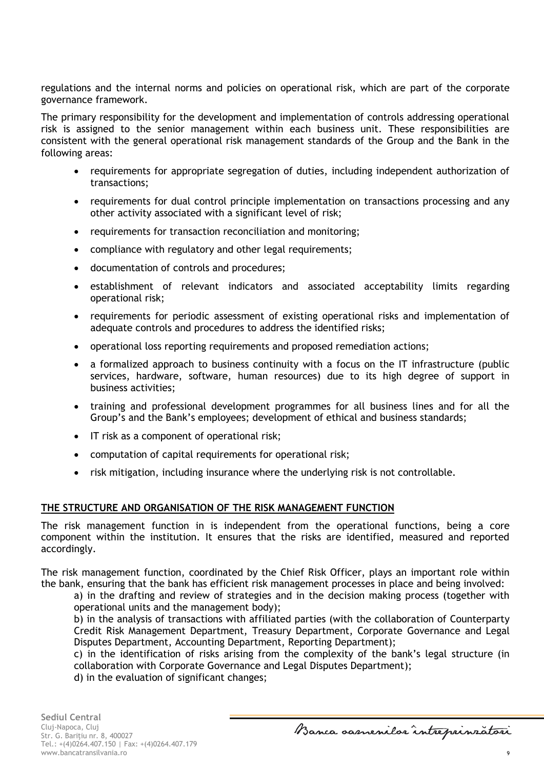regulations and the internal norms and policies on operational risk, which are part of the corporate governance framework.

The primary responsibility for the development and implementation of controls addressing operational risk is assigned to the senior management within each business unit. These responsibilities are consistent with the general operational risk management standards of the Group and the Bank in the following areas:

- requirements for appropriate segregation of duties, including independent authorization of transactions;
- requirements for dual control principle implementation on transactions processing and any other activity associated with a significant level of risk;
- requirements for transaction reconciliation and monitoring;
- compliance with regulatory and other legal requirements;
- documentation of controls and procedures;
- establishment of relevant indicators and associated acceptability limits regarding operational risk;
- requirements for periodic assessment of existing operational risks and implementation of adequate controls and procedures to address the identified risks;
- operational loss reporting requirements and proposed remediation actions;
- a formalized approach to business continuity with a focus on the IT infrastructure (public services, hardware, software, human resources) due to its high degree of support in business activities;
- training and professional development programmes for all business lines and for all the Group's and the Bank's employees; development of ethical and business standards;
- IT risk as a component of operational risk;
- computation of capital requirements for operational risk;
- risk mitigation, including insurance where the underlying risk is not controllable.

## **THE STRUCTURE AND ORGANISATION OF THE RISK MANAGEMENT FUNCTION**

The risk management function in is independent from the operational functions, being a core component within the institution. It ensures that the risks are identified, measured and reported accordingly.

The risk management function, coordinated by the Chief Risk Officer, plays an important role within the bank, ensuring that the bank has efficient risk management processes in place and being involved:

a) in the drafting and review of strategies and in the decision making process (together with operational units and the management body);

b) in the analysis of transactions with affiliated parties (with the collaboration of Counterparty Credit Risk Management Department, Treasury Department, Corporate Governance and Legal Disputes Department, Accounting Department, Reporting Department);

c) in the identification of risks arising from the complexity of the bank's legal structure (in collaboration with Corporate Governance and Legal Disputes Department);

d) in the evaluation of significant changes;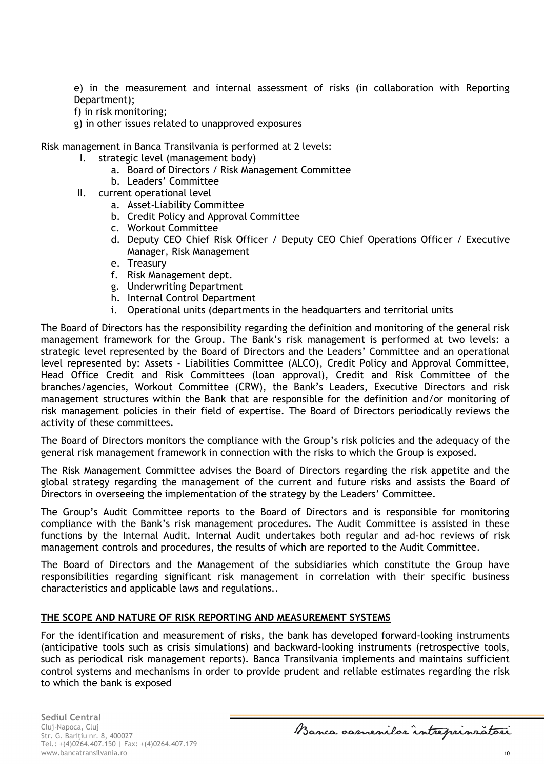e) in the measurement and internal assessment of risks (in collaboration with Reporting Department);

f) in risk monitoring;

g) in other issues related to unapproved exposures

Risk management in Banca Transilvania is performed at 2 levels:

- I. strategic level (management body)
	- a. Board of Directors / Risk Management Committee
	- b. Leaders' Committee
- II. current operational level
	- a. Asset-Liability Committee
	- b. Credit Policy and Approval Committee
	- c. Workout Committee
	- d. Deputy CEO Chief Risk Officer / Deputy CEO Chief Operations Officer / Executive Manager, Risk Management
	- e. Treasury
	- f. Risk Management dept.
	- g. Underwriting Department
	- h. Internal Control Department
	- i. Operational units (departments in the headquarters and territorial units

The Board of Directors has the responsibility regarding the definition and monitoring of the general risk management framework for the Group. The Bank's risk management is performed at two levels: a strategic level represented by the Board of Directors and the Leaders' Committee and an operational level represented by: Assets - Liabilities Committee (ALCO), Credit Policy and Approval Committee, Head Office Credit and Risk Committees (loan approval), Credit and Risk Committee of the branches/agencies, Workout Committee (CRW), the Bank's Leaders, Executive Directors and risk management structures within the Bank that are responsible for the definition and/or monitoring of risk management policies in their field of expertise. The Board of Directors periodically reviews the activity of these committees.

The Board of Directors monitors the compliance with the Group's risk policies and the adequacy of the general risk management framework in connection with the risks to which the Group is exposed.

The Risk Management Committee advises the Board of Directors regarding the risk appetite and the global strategy regarding the management of the current and future risks and assists the Board of Directors in overseeing the implementation of the strategy by the Leaders' Committee.

The Group's Audit Committee reports to the Board of Directors and is responsible for monitoring compliance with the Bank's risk management procedures. The Audit Committee is assisted in these functions by the Internal Audit. Internal Audit undertakes both regular and ad-hoc reviews of risk management controls and procedures, the results of which are reported to the Audit Committee.

The Board of Directors and the Management of the subsidiaries which constitute the Group have responsibilities regarding significant risk management in correlation with their specific business characteristics and applicable laws and regulations..

#### **THE SCOPE AND NATURE OF RISK REPORTING AND MEASUREMENT SYSTEMS**

For the identification and measurement of risks, the bank has developed forward-looking instruments (anticipative tools such as crisis simulations) and backward-looking instruments (retrospective tools, such as periodical risk management reports). Banca Transilvania implements and maintains sufficient control systems and mechanisms in order to provide prudent and reliable estimates regarding the risk to which the bank is exposed

**Sediul Central** Cluj-Napoca, Cluj Str. G. Bariţiu nr. 8, 400027 Tel.: +(4)0264.407.150 | Fax: +(4)0264.407.179 www.bancatransilvania.ro 10

Banca samenilar intreprinratori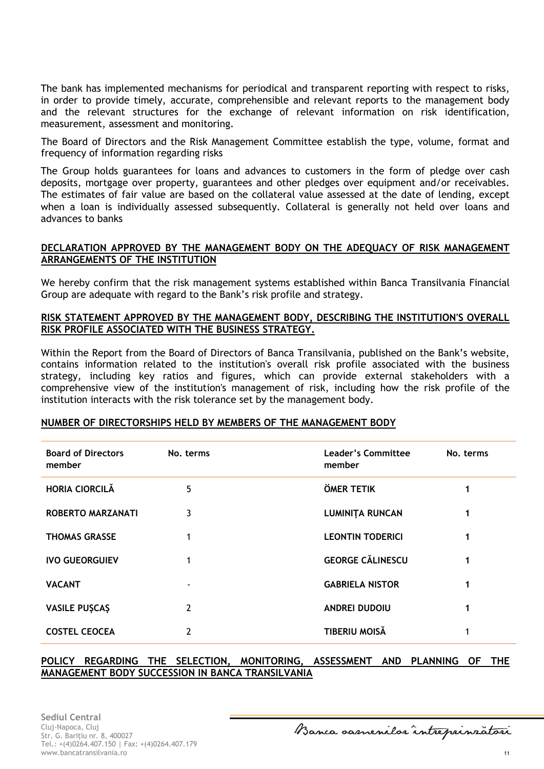The bank has implemented mechanisms for periodical and transparent reporting with respect to risks, in order to provide timely, accurate, comprehensible and relevant reports to the management body and the relevant structures for the exchange of relevant information on risk identification, measurement, assessment and monitoring.

The Board of Directors and the Risk Management Committee establish the type, volume, format and frequency of information regarding risks

The Group holds guarantees for loans and advances to customers in the form of pledge over cash deposits, mortgage over property, guarantees and other pledges over equipment and/or receivables. The estimates of fair value are based on the collateral value assessed at the date of lending, except when a loan is individually assessed subsequently. Collateral is generally not held over loans and advances to banks

### **DECLARATION APPROVED BY THE MANAGEMENT BODY ON THE ADEQUACY OF RISK MANAGEMENT ARRANGEMENTS OF THE INSTITUTION**

We hereby confirm that the risk management systems established within Banca Transilvania Financial Group are adequate with regard to the Bank's risk profile and strategy.

#### **RISK STATEMENT APPROVED BY THE MANAGEMENT BODY, DESCRIBING THE INSTITUTION'S OVERALL RISK PROFILE ASSOCIATED WITH THE BUSINESS STRATEGY.**

Within the Report from the Board of Directors of Banca Transilvania, published on the Bank's website, contains information related to the institution's overall risk profile associated with the business strategy, including key ratios and figures, which can provide external stakeholders with a comprehensive view of the institution's management of risk, including how the risk profile of the institution interacts with the risk tolerance set by the management body.

#### **NUMBER OF DIRECTORSHIPS HELD BY MEMBERS OF THE MANAGEMENT BODY**

| <b>Board of Directors</b><br>member | No. terms | Leader's Committee<br>member | No. terms |
|-------------------------------------|-----------|------------------------------|-----------|
| <b>HORIA CIORCILĂ</b>               | 5         | <b>ÖMER TETIK</b>            | 1         |
| <b>ROBERTO MARZANATI</b>            | 3         | <b>LUMINITA RUNCAN</b>       | 1         |
| <b>THOMAS GRASSE</b>                | 1         | <b>LEONTIN TODERICI</b>      |           |
| <b>IVO GUEORGUIEV</b>               | 1         | <b>GEORGE CĂLINESCU</b>      | 1         |
| <b>VACANT</b>                       |           | <b>GABRIELA NISTOR</b>       |           |
| <b>VASILE PUȘCAȘ</b>                | 2         | <b>ANDREI DUDOIU</b>         |           |
| <b>COSTEL CEOCEA</b>                | 2         | <b>TIBERIU MOISĂ</b>         |           |

#### **POLICY REGARDING THE SELECTION, MONITORING, ASSESSMENT AND PLANNING OF THE MANAGEMENT BODY SUCCESSION IN BANCA TRANSILVANIA**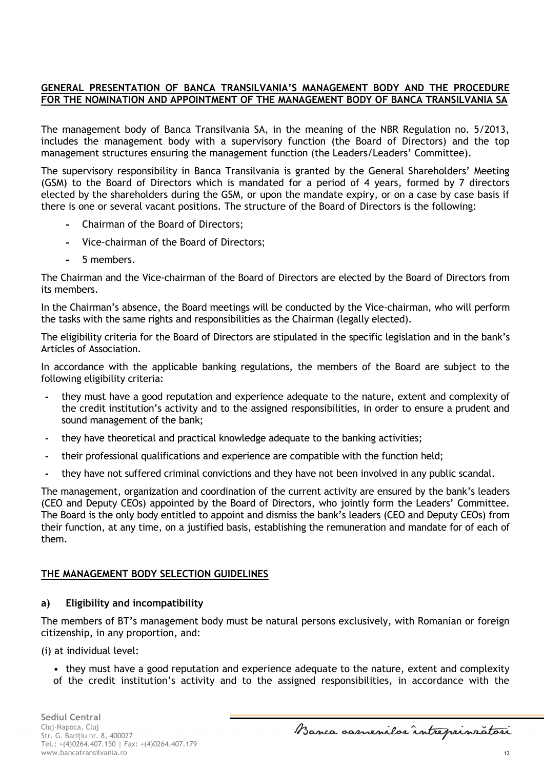## **GENERAL PRESENTATION OF BANCA TRANSILVANIA'S MANAGEMENT BODY AND THE PROCEDURE FOR THE NOMINATION AND APPOINTMENT OF THE MANAGEMENT BODY OF BANCA TRANSILVANIA SA**

The management body of Banca Transilvania SA, in the meaning of the NBR Regulation no. 5/2013, includes the management body with a supervisory function (the Board of Directors) and the top management structures ensuring the management function (the Leaders/Leaders' Committee).

The supervisory responsibility in Banca Transilvania is granted by the General Shareholders' Meeting (GSM) to the Board of Directors which is mandated for a period of 4 years, formed by 7 directors elected by the shareholders during the GSM, or upon the mandate expiry, or on a case by case basis if there is one or several vacant positions. The structure of the Board of Directors is the following:

- **-** Chairman of the Board of Directors;
- **-** Vice-chairman of the Board of Directors;
- **-** 5 members.

The Chairman and the Vice-chairman of the Board of Directors are elected by the Board of Directors from its members.

In the Chairman's absence, the Board meetings will be conducted by the Vice-chairman, who will perform the tasks with the same rights and responsibilities as the Chairman (legally elected).

The eligibility criteria for the Board of Directors are stipulated in the specific legislation and in the bank's Articles of Association.

In accordance with the applicable banking regulations, the members of the Board are subject to the following eligibility criteria:

- **-** they must have a good reputation and experience adequate to the nature, extent and complexity of the credit institution's activity and to the assigned responsibilities, in order to ensure a prudent and sound management of the bank;
- **-** they have theoretical and practical knowledge adequate to the banking activities;
- **-** their professional qualifications and experience are compatible with the function held;
- **-** they have not suffered criminal convictions and they have not been involved in any public scandal.

The management, organization and coordination of the current activity are ensured by the bank's leaders (CEO and Deputy CEOs) appointed by the Board of Directors, who jointly form the Leaders' Committee. The Board is the only body entitled to appoint and dismiss the bank's leaders (CEO and Deputy CEOs) from their function, at any time, on a justified basis, establishing the remuneration and mandate for of each of them.

## **THE MANAGEMENT BODY SELECTION GUIDELINES**

### **a) Eligibility and incompatibility**

The members of BT's management body must be natural persons exclusively, with Romanian or foreign citizenship, in any proportion, and:

(i) at individual level:

• they must have a good reputation and experience adequate to the nature, extent and complexity of the credit institution's activity and to the assigned responsibilities, in accordance with the

Banca samenilar intreprinratori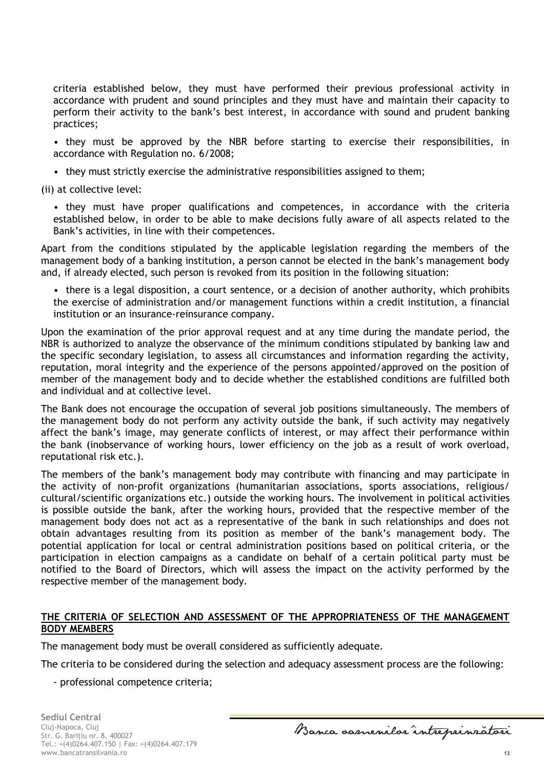criteria established below, they must have performed their previous professional activity in accordance with prudent and sound principles and they must have and maintain their capacity to perform their activity to the bank's best interest, in accordance with sound and prudent banking practices;

• they must be approved by the NBR before starting to exercise their responsibilities, in accordance with Regulation no. 6/2008;

• they must strictly exercise the administrative responsibilities assigned to them;

(ii) at collective level:

• they must have proper qualifications and competences, in accordance with the criteria established below, in order to be able to make decisions fully aware of all aspects related to the Bank's activities, in line with their competences.

Apart from the conditions stipulated by the applicable legislation regarding the members of the management body of a banking institution, a person cannot be elected in the bank's management body and, if already elected, such person is revoked from its position in the following situation:

• there is a legal disposition, a court sentence, or a decision of another authority, which prohibits the exercise of administration and/or management functions within a credit institution, a financial institution or an insurance-reinsurance company.

Upon the examination of the prior approval request and at any time during the mandate period, the NBR is authorized to analyze the observance of the minimum conditions stipulated by banking law and the specific secondary legislation, to assess all circumstances and information regarding the activity, reputation, moral integrity and the experience of the persons appointed/approved on the position of member of the management body and to decide whether the established conditions are fulfilled both and individual and at collective level.

The Bank does not encourage the occupation of several job positions simultaneously. The members of the management body do not perform any activity outside the bank, if such activity may negatively affect the bank's image, may generate conflicts of interest, or may affect their performance within the bank (inobservance of working hours, lower efficiency on the job as a result of work overload, reputational risk etc.).

The members of the bank's management body may contribute with financing and may participate in the activity of non-profit organizations (humanitarian associations, sports associations, religious/ cultural/scientific organizations etc.) outside the working hours. The involvement in political activities is possible outside the bank, after the working hours, provided that the respective member of the management body does not act as a representative of the bank in such relationships and does not obtain advantages resulting from its position as member of the bank's management body. The potential application for local or central administration positions based on political criteria, or the participation in election campaigns as a candidate on behalf of a certain political party must be notified to the Board of Directors, which will assess the impact on the activity performed by the respective member of the management body.

## **THE CRITERIA OF SELECTION AND ASSESSMENT OF THE APPROPRIATENESS OF THE MANAGEMENT BODY MEMBERS**

The management body must be overall considered as sufficiently adequate.

The criteria to be considered during the selection and adequacy assessment process are the following:

- professional competence criteria;

Banca samenilar intreprinratori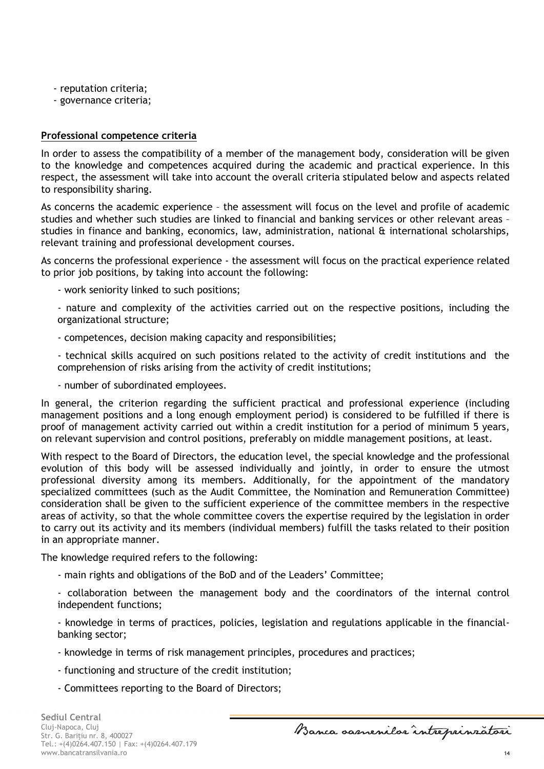- reputation criteria;
- governance criteria;

### **Professional competence criteria**

In order to assess the compatibility of a member of the management body, consideration will be given to the knowledge and competences acquired during the academic and practical experience. In this respect, the assessment will take into account the overall criteria stipulated below and aspects related to responsibility sharing.

As concerns the academic experience – the assessment will focus on the level and profile of academic studies and whether such studies are linked to financial and banking services or other relevant areas – studies in finance and banking, economics, law, administration, national & international scholarships, relevant training and professional development courses.

As concerns the professional experience - the assessment will focus on the practical experience related to prior job positions, by taking into account the following:

- work seniority linked to such positions;

- nature and complexity of the activities carried out on the respective positions, including the organizational structure;

- competences, decision making capacity and responsibilities;

- technical skills acquired on such positions related to the activity of credit institutions and the comprehension of risks arising from the activity of credit institutions;

- number of subordinated employees.

In general, the criterion regarding the sufficient practical and professional experience (including management positions and a long enough employment period) is considered to be fulfilled if there is proof of management activity carried out within a credit institution for a period of minimum 5 years, on relevant supervision and control positions, preferably on middle management positions, at least.

With respect to the Board of Directors, the education level, the special knowledge and the professional evolution of this body will be assessed individually and jointly, in order to ensure the utmost professional diversity among its members. Additionally, for the appointment of the mandatory specialized committees (such as the Audit Committee, the Nomination and Remuneration Committee) consideration shall be given to the sufficient experience of the committee members in the respective areas of activity, so that the whole committee covers the expertise required by the legislation in order to carry out its activity and its members (individual members) fulfill the tasks related to their position in an appropriate manner.

The knowledge required refers to the following:

- main rights and obligations of the BoD and of the Leaders' Committee;

- collaboration between the management body and the coordinators of the internal control independent functions;

- knowledge in terms of practices, policies, legislation and regulations applicable in the financialbanking sector;

- knowledge in terms of risk management principles, procedures and practices;

- functioning and structure of the credit institution;
- Committees reporting to the Board of Directors;

Banca samenilar intreprinratori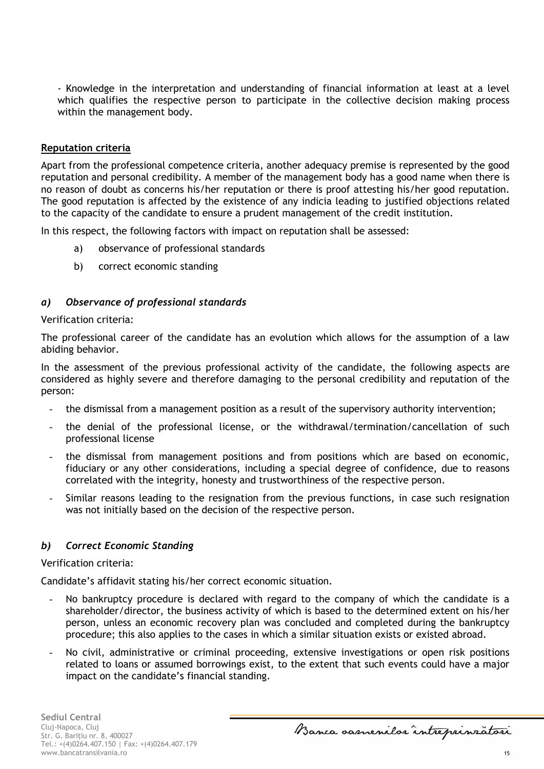- Knowledge in the interpretation and understanding of financial information at least at a level which qualifies the respective person to participate in the collective decision making process within the management body.

#### **Reputation criteria**

Apart from the professional competence criteria, another adequacy premise is represented by the good reputation and personal credibility. A member of the management body has a good name when there is no reason of doubt as concerns his/her reputation or there is proof attesting his/her good reputation. The good reputation is affected by the existence of any indicia leading to justified objections related to the capacity of the candidate to ensure a prudent management of the credit institution.

In this respect, the following factors with impact on reputation shall be assessed:

- a) observance of professional standards
- b) correct economic standing

## *a) Observance of professional standards*

#### Verification criteria:

The professional career of the candidate has an evolution which allows for the assumption of a law abiding behavior.

In the assessment of the previous professional activity of the candidate, the following aspects are considered as highly severe and therefore damaging to the personal credibility and reputation of the person:

- the dismissal from a management position as a result of the supervisory authority intervention;
- the denial of the professional license, or the withdrawal/termination/cancellation of such professional license
- the dismissal from management positions and from positions which are based on economic, fiduciary or any other considerations, including a special degree of confidence, due to reasons correlated with the integrity, honesty and trustworthiness of the respective person.
- Similar reasons leading to the resignation from the previous functions, in case such resignation was not initially based on the decision of the respective person.

### *b) Correct Economic Standing*

Verification criteria:

Candidate's affidavit stating his/her correct economic situation.

- No bankruptcy procedure is declared with regard to the company of which the candidate is a shareholder/director, the business activity of which is based to the determined extent on his/her person, unless an economic recovery plan was concluded and completed during the bankruptcy procedure; this also applies to the cases in which a similar situation exists or existed abroad.
- No civil, administrative or criminal proceeding, extensive investigations or open risk positions related to loans or assumed borrowings exist, to the extent that such events could have a major impact on the candidate's financial standing.

Banca samenilar intreprinratori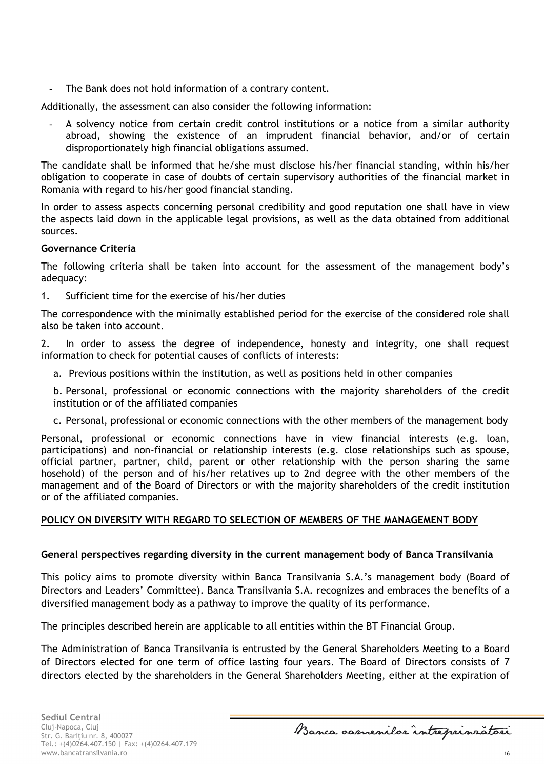The Bank does not hold information of a contrary content.

Additionally, the assessment can also consider the following information:

A solvency notice from certain credit control institutions or a notice from a similar authority abroad, showing the existence of an imprudent financial behavior, and/or of certain disproportionately high financial obligations assumed.

The candidate shall be informed that he/she must disclose his/her financial standing, within his/her obligation to cooperate in case of doubts of certain supervisory authorities of the financial market in Romania with regard to his/her good financial standing.

In order to assess aspects concerning personal credibility and good reputation one shall have in view the aspects laid down in the applicable legal provisions, as well as the data obtained from additional sources.

## **Governance Criteria**

The following criteria shall be taken into account for the assessment of the management body's adequacy:

1. Sufficient time for the exercise of his/her duties

The correspondence with the minimally established period for the exercise of the considered role shall also be taken into account.

2. In order to assess the degree of independence, honesty and integrity, one shall request information to check for potential causes of conflicts of interests:

a. Previous positions within the institution, as well as positions held in other companies

b. Personal, professional or economic connections with the majority shareholders of the credit institution or of the affiliated companies

c. Personal, professional or economic connections with the other members of the management body

Personal, professional or economic connections have in view financial interests (e.g. loan, participations) and non-financial or relationship interests (e.g. close relationships such as spouse, official partner, partner, child, parent or other relationship with the person sharing the same hosehold) of the person and of his/her relatives up to 2nd degree with the other members of the management and of the Board of Directors or with the majority shareholders of the credit institution or of the affiliated companies.

## **POLICY ON DIVERSITY WITH REGARD TO SELECTION OF MEMBERS OF THE MANAGEMENT BODY**

## **General perspectives regarding diversity in the current management body of Banca Transilvania**

This policy aims to promote diversity within Banca Transilvania S.A.'s management body (Board of Directors and Leaders' Committee). Banca Transilvania S.A. recognizes and embraces the benefits of a diversified management body as a pathway to improve the quality of its performance.

The principles described herein are applicable to all entities within the BT Financial Group.

The Administration of Banca Transilvania is entrusted by the General Shareholders Meeting to a Board of Directors elected for one term of office lasting four years. The Board of Directors consists of 7 directors elected by the shareholders in the General Shareholders Meeting, either at the expiration of

Banca samenilar intreprinratori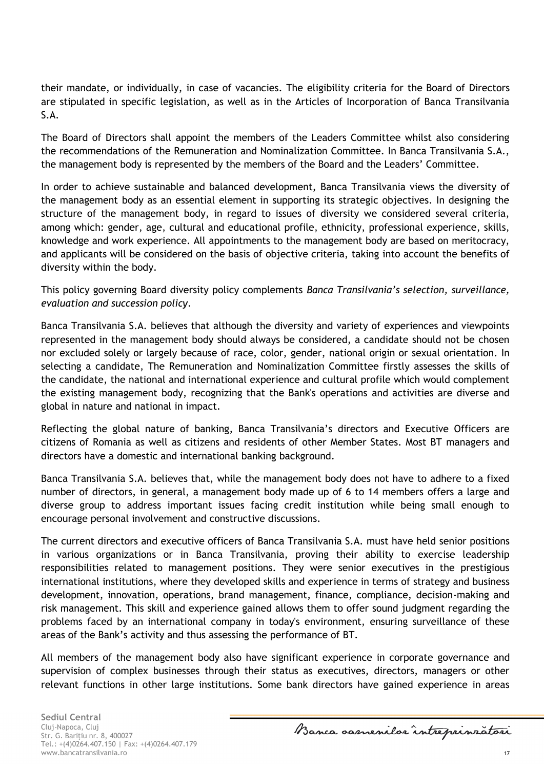their mandate, or individually, in case of vacancies. The eligibility criteria for the Board of Directors are stipulated in specific legislation, as well as in the Articles of Incorporation of Banca Transilvania S.A.

The Board of Directors shall appoint the members of the Leaders Committee whilst also considering the recommendations of the Remuneration and Nominalization Committee. In Banca Transilvania S.A., the management body is represented by the members of the Board and the Leaders' Committee.

In order to achieve sustainable and balanced development, Banca Transilvania views the diversity of the management body as an essential element in supporting its strategic objectives. In designing the structure of the management body, in regard to issues of diversity we considered several criteria, among which: gender, age, cultural and educational profile, ethnicity, professional experience, skills, knowledge and work experience. All appointments to the management body are based on meritocracy, and applicants will be considered on the basis of objective criteria, taking into account the benefits of diversity within the body.

This policy governing Board diversity policy complements *Banca Transilvania's selection, surveillance, evaluation and succession policy*.

Banca Transilvania S.A. believes that although the diversity and variety of experiences and viewpoints represented in the management body should always be considered, a candidate should not be chosen nor excluded solely or largely because of race, color, gender, national origin or sexual orientation. In selecting a candidate, The Remuneration and Nominalization Committee firstly assesses the skills of the candidate, the national and international experience and cultural profile which would complement the existing management body, recognizing that the Bank's operations and activities are diverse and global in nature and national in impact.

Reflecting the global nature of banking, Banca Transilvania's directors and Executive Officers are citizens of Romania as well as citizens and residents of other Member States. Most BT managers and directors have a domestic and international banking background.

Banca Transilvania S.A. believes that, while the management body does not have to adhere to a fixed number of directors, in general, a management body made up of 6 to 14 members offers a large and diverse group to address important issues facing credit institution while being small enough to encourage personal involvement and constructive discussions.

The current directors and executive officers of Banca Transilvania S.A. must have held senior positions in various organizations or in Banca Transilvania, proving their ability to exercise leadership responsibilities related to management positions. They were senior executives in the prestigious international institutions, where they developed skills and experience in terms of strategy and business development, innovation, operations, brand management, finance, compliance, decision-making and risk management. This skill and experience gained allows them to offer sound judgment regarding the problems faced by an international company in today's environment, ensuring surveillance of these areas of the Bank's activity and thus assessing the performance of BT.

All members of the management body also have significant experience in corporate governance and supervision of complex businesses through their status as executives, directors, managers or other relevant functions in other large institutions. Some bank directors have gained experience in areas

Banca samenilar intreprinratori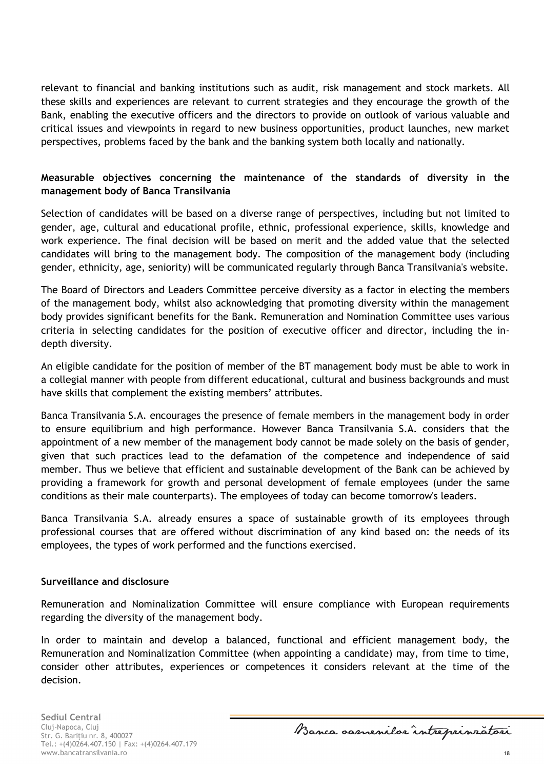relevant to financial and banking institutions such as audit, risk management and stock markets. All these skills and experiences are relevant to current strategies and they encourage the growth of the Bank, enabling the executive officers and the directors to provide on outlook of various valuable and critical issues and viewpoints in regard to new business opportunities, product launches, new market perspectives, problems faced by the bank and the banking system both locally and nationally.

## **Measurable objectives concerning the maintenance of the standards of diversity in the management body of Banca Transilvania**

Selection of candidates will be based on a diverse range of perspectives, including but not limited to gender, age, cultural and educational profile, ethnic, professional experience, skills, knowledge and work experience. The final decision will be based on merit and the added value that the selected candidates will bring to the management body. The composition of the management body (including gender, ethnicity, age, seniority) will be communicated regularly through Banca Transilvania's website.

The Board of Directors and Leaders Committee perceive diversity as a factor in electing the members of the management body, whilst also acknowledging that promoting diversity within the management body provides significant benefits for the Bank. Remuneration and Nomination Committee uses various criteria in selecting candidates for the position of executive officer and director, including the indepth diversity.

An eligible candidate for the position of member of the BT management body must be able to work in a collegial manner with people from different educational, cultural and business backgrounds and must have skills that complement the existing members' attributes.

Banca Transilvania S.A. encourages the presence of female members in the management body in order to ensure equilibrium and high performance. However Banca Transilvania S.A. considers that the appointment of a new member of the management body cannot be made solely on the basis of gender, given that such practices lead to the defamation of the competence and independence of said member. Thus we believe that efficient and sustainable development of the Bank can be achieved by providing a framework for growth and personal development of female employees (under the same conditions as their male counterparts). The employees of today can become tomorrow's leaders.

Banca Transilvania S.A. already ensures a space of sustainable growth of its employees through professional courses that are offered without discrimination of any kind based on: the needs of its employees, the types of work performed and the functions exercised.

### **Surveillance and disclosure**

Remuneration and Nominalization Committee will ensure compliance with European requirements regarding the diversity of the management body.

In order to maintain and develop a balanced, functional and efficient management body, the Remuneration and Nominalization Committee (when appointing a candidate) may, from time to time, consider other attributes, experiences or competences it considers relevant at the time of the decision.

**Sediul Central** Cluj-Napoca, Cluj Str. G. Bariţiu nr. 8, 400027 Tel.: +(4)0264.407.150 | Fax: +(4)0264.407.179 www.bancatransilvania.ro 18

Banca samenilar intreprinratori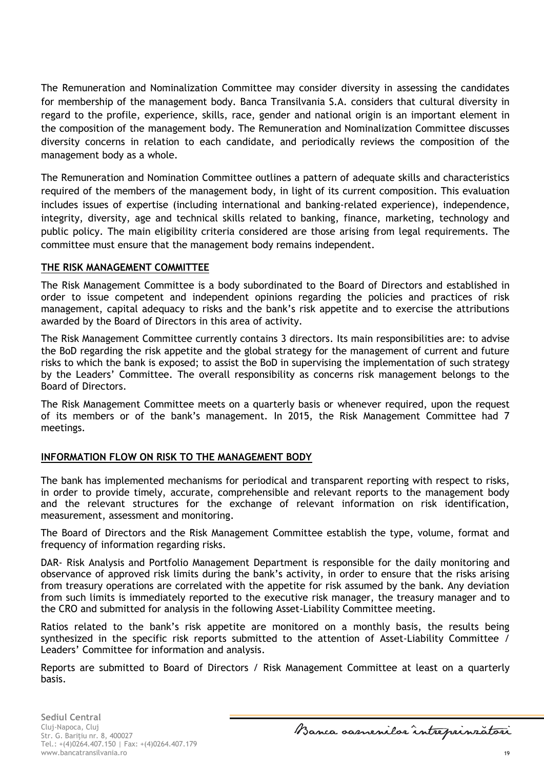The Remuneration and Nominalization Committee may consider diversity in assessing the candidates for membership of the management body. Banca Transilvania S.A. considers that cultural diversity in regard to the profile, experience, skills, race, gender and national origin is an important element in the composition of the management body. The Remuneration and Nominalization Committee discusses diversity concerns in relation to each candidate, and periodically reviews the composition of the management body as a whole.

The Remuneration and Nomination Committee outlines a pattern of adequate skills and characteristics required of the members of the management body, in light of its current composition. This evaluation includes issues of expertise (including international and banking-related experience), independence, integrity, diversity, age and technical skills related to banking, finance, marketing, technology and public policy. The main eligibility criteria considered are those arising from legal requirements. The committee must ensure that the management body remains independent.

## **THE RISK MANAGEMENT COMMITTEE**

The Risk Management Committee is a body subordinated to the Board of Directors and established in order to issue competent and independent opinions regarding the policies and practices of risk management, capital adequacy to risks and the bank's risk appetite and to exercise the attributions awarded by the Board of Directors in this area of activity.

The Risk Management Committee currently contains 3 directors. Its main responsibilities are: to advise the BoD regarding the risk appetite and the global strategy for the management of current and future risks to which the bank is exposed; to assist the BoD in supervising the implementation of such strategy by the Leaders' Committee. The overall responsibility as concerns risk management belongs to the Board of Directors.

The Risk Management Committee meets on a quarterly basis or whenever required, upon the request of its members or of the bank's management. In 2015, the Risk Management Committee had 7 meetings.

## **INFORMATION FLOW ON RISK TO THE MANAGEMENT BODY**

The bank has implemented mechanisms for periodical and transparent reporting with respect to risks, in order to provide timely, accurate, comprehensible and relevant reports to the management body and the relevant structures for the exchange of relevant information on risk identification, measurement, assessment and monitoring.

The Board of Directors and the Risk Management Committee establish the type, volume, format and frequency of information regarding risks.

DAR- Risk Analysis and Portfolio Management Department is responsible for the daily monitoring and observance of approved risk limits during the bank's activity, in order to ensure that the risks arising from treasury operations are correlated with the appetite for risk assumed by the bank. Any deviation from such limits is immediately reported to the executive risk manager, the treasury manager and to the CRO and submitted for analysis in the following Asset-Liability Committee meeting.

Ratios related to the bank's risk appetite are monitored on a monthly basis, the results being synthesized in the specific risk reports submitted to the attention of Asset-Liability Committee / Leaders' Committee for information and analysis.

Reports are submitted to Board of Directors / Risk Management Committee at least on a quarterly basis.

Banca samenilor intreprinratori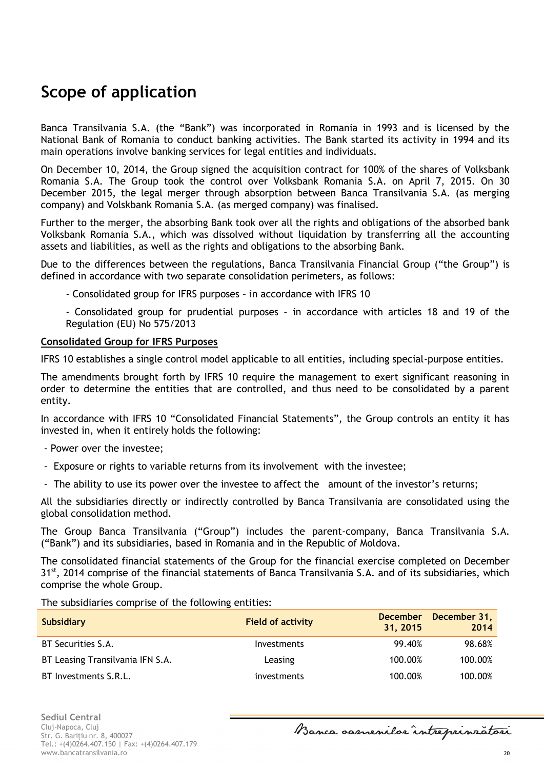# <span id="page-19-0"></span>**Scope of application**

Banca Transilvania S.A. (the "Bank") was incorporated in Romania in 1993 and is licensed by the National Bank of Romania to conduct banking activities. The Bank started its activity in 1994 and its main operations involve banking services for legal entities and individuals.

On December 10, 2014, the Group signed the acquisition contract for 100% of the shares of Volksbank Romania S.A. The Group took the control over Volksbank Romania S.A. on April 7, 2015. On 30 December 2015, the legal merger through absorption between Banca Transilvania S.A. (as merging company) and Volskbank Romania S.A. (as merged company) was finalised.

Further to the merger, the absorbing Bank took over all the rights and obligations of the absorbed bank Volksbank Romania S.A., which was dissolved without liquidation by transferring all the accounting assets and liabilities, as well as the rights and obligations to the absorbing Bank.

Due to the differences between the regulations, Banca Transilvania Financial Group ("the Group") is defined in accordance with two separate consolidation perimeters, as follows:

- Consolidated group for IFRS purposes – in accordance with IFRS 10

- Consolidated group for prudential purposes – in accordance with articles 18 and 19 of the Regulation (EU) No 575/2013

#### **Consolidated Group for IFRS Purposes**

IFRS 10 establishes a single control model applicable to all entities, including special-purpose entities.

The amendments brought forth by IFRS 10 require the management to exert significant reasoning in order to determine the entities that are controlled, and thus need to be consolidated by a parent entity.

In accordance with IFRS 10 "Consolidated Financial Statements", the Group controls an entity it has invested in, when it entirely holds the following:

- Power over the investee;
- Exposure or rights to variable returns from its involvement with the investee;
- The ability to use its power over the investee to affect the amount of the investor's returns;

All the subsidiaries directly or indirectly controlled by Banca Transilvania are consolidated using the global consolidation method.

The Group Banca Transilvania ("Group") includes the parent-company, Banca Transilvania S.A. ("Bank") and its subsidiaries, based in Romania and in the Republic of Moldova.

The consolidated financial statements of the Group for the financial exercise completed on December 31<sup>st</sup>, 2014 comprise of the financial statements of Banca Transilvania S.A. and of its subsidiaries, which comprise the whole Group.

The subsidiaries comprise of the following entities:

| <b>Subsidiary</b>                | <b>Field of activity</b> | <b>December</b><br>31, 2015 | December 31,<br>2014 |
|----------------------------------|--------------------------|-----------------------------|----------------------|
| BT Securities S.A.               | Investments              | 99.40%                      | 98.68%               |
| BT Leasing Transilvania IFN S.A. | Leasing                  | 100.00%                     | 100.00%              |
| BT Investments S.R.L.            | investments              | 100.00%                     | 100.00%              |

Banca samenilor intreprinratori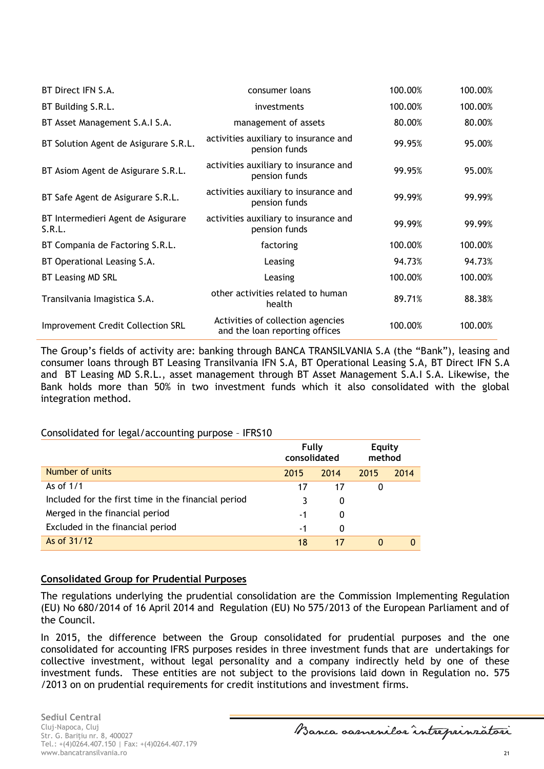| BT Direct IFN S.A.                           | consumer loans                                                      | 100.00% | 100.00% |
|----------------------------------------------|---------------------------------------------------------------------|---------|---------|
| BT Building S.R.L.                           | investments                                                         | 100.00% | 100.00% |
| BT Asset Management S.A.I S.A.               | management of assets                                                | 80.00%  | 80.00%  |
| BT Solution Agent de Asigurare S.R.L.        | activities auxiliary to insurance and<br>pension funds              | 99.95%  | 95.00%  |
| BT Asiom Agent de Asigurare S.R.L.           | activities auxiliary to insurance and<br>pension funds              | 99.95%  | 95.00%  |
| BT Safe Agent de Asigurare S.R.L.            | activities auxiliary to insurance and<br>pension funds              | 99.99%  | 99.99%  |
| BT Intermedieri Agent de Asigurare<br>S.R.L. | activities auxiliary to insurance and<br>pension funds              | 99.99%  | 99.99%  |
| BT Compania de Factoring S.R.L.              | factoring                                                           | 100.00% | 100.00% |
| BT Operational Leasing S.A.                  | Leasing                                                             | 94.73%  | 94.73%  |
| BT Leasing MD SRL                            | Leasing                                                             | 100.00% | 100.00% |
| Transilvania Imagistica S.A.                 | other activities related to human<br>health                         | 89.71%  | 88.38%  |
| <b>Improvement Credit Collection SRL</b>     | Activities of collection agencies<br>and the loan reporting offices | 100.00% | 100.00% |

The Group's fields of activity are: banking through BANCA TRANSILVANIA S.A (the "Bank"), leasing and consumer loans through BT Leasing Transilvania IFN S.A, BT Operational Leasing S.A, BT Direct IFN S.A and BT Leasing MD S.R.L., asset management through BT Asset Management S.A.I S.A. Likewise, the Bank holds more than 50% in two investment funds which it also consolidated with the global integration method.

### Consolidated for legal/accounting purpose – IFRS10

|                                                     | Fully<br>consolidated |      | <b>Equity</b><br>method |      |
|-----------------------------------------------------|-----------------------|------|-------------------------|------|
| Number of units                                     | 2015                  | 2014 | 2015                    | 2014 |
| As of 1/1                                           | 17                    | 17   | 0                       |      |
| Included for the first time in the financial period |                       | 0    |                         |      |
| Merged in the financial period                      | -1                    | 0    |                         |      |
| Excluded in the financial period                    | -1                    | 0    |                         |      |
| As of 31/12                                         | 18                    | 17   | 0                       |      |

### **Consolidated Group for Prudential Purposes**

The regulations underlying the prudential consolidation are the Commission Implementing Regulation (EU) No 680/2014 of 16 April 2014 and Regulation (EU) No 575/2013 of the European Parliament and of the Council.

In 2015, the difference between the Group consolidated for prudential purposes and the one consolidated for accounting IFRS purposes resides in three investment funds that are undertakings for collective investment, without legal personality and a company indirectly held by one of these investment funds. These entities are not subject to the provisions laid down in Regulation no. 575 /2013 on on prudential requirements for credit institutions and investment firms.

**Sediul Central** Cluj-Napoca, Cluj Str. G. Bariţiu nr. 8, 400027 Tel.: +(4)0264.407.150 | Fax: +(4)0264.407.179 www.bancatransilvania.ro 21

Banca samenilar intreprinratori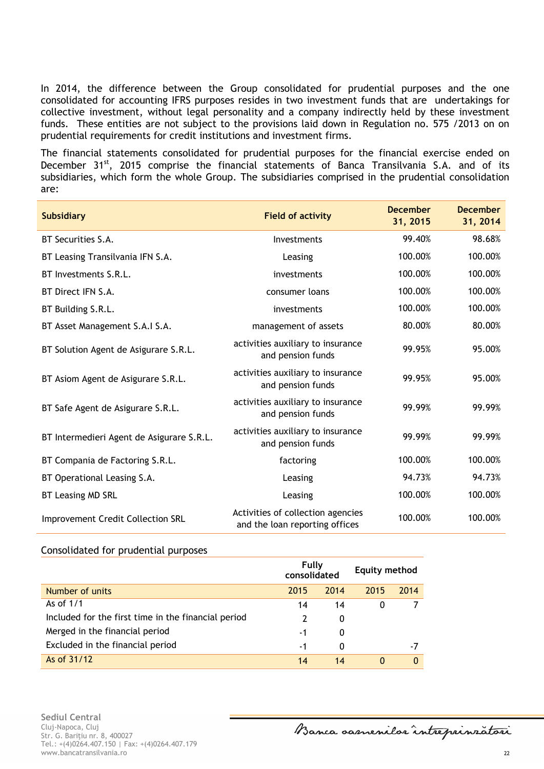In 2014, the difference between the Group consolidated for prudential purposes and the one consolidated for accounting IFRS purposes resides in two investment funds that are undertakings for collective investment, without legal personality and a company indirectly held by these investment funds. These entities are not subject to the provisions laid down in Regulation no. 575 /2013 on on prudential requirements for credit institutions and investment firms.

The financial statements consolidated for prudential purposes for the financial exercise ended on December 31<sup>st</sup>, 2015 comprise the financial statements of Banca Transilvania S.A. and of its subsidiaries, which form the whole Group. The subsidiaries comprised in the prudential consolidation are:

| <b>Subsidiary</b>                         | <b>Field of activity</b>                                            | <b>December</b><br>31, 2015 | <b>December</b><br>31, 2014 |
|-------------------------------------------|---------------------------------------------------------------------|-----------------------------|-----------------------------|
| BT Securities S.A.                        | Investments                                                         | 99.40%                      | 98.68%                      |
| BT Leasing Transilvania IFN S.A.          | Leasing                                                             | 100.00%                     | 100.00%                     |
| BT Investments S.R.L.                     | investments                                                         | 100.00%                     | 100.00%                     |
| BT Direct IFN S.A.                        | consumer loans                                                      | 100.00%                     | 100.00%                     |
| BT Building S.R.L.                        | investments                                                         | 100.00%                     | 100.00%                     |
| BT Asset Management S.A.I S.A.            | management of assets                                                | 80.00%                      | 80.00%                      |
| BT Solution Agent de Asigurare S.R.L.     | activities auxiliary to insurance<br>and pension funds              | 99.95%                      | 95.00%                      |
| BT Asiom Agent de Asigurare S.R.L.        | activities auxiliary to insurance<br>and pension funds              | 99.95%                      | 95.00%                      |
| BT Safe Agent de Asigurare S.R.L.         | activities auxiliary to insurance<br>and pension funds              | 99.99%                      | 99.99%                      |
| BT Intermedieri Agent de Asigurare S.R.L. | activities auxiliary to insurance<br>and pension funds              | 99.99%                      | 99.99%                      |
| BT Compania de Factoring S.R.L.           | factoring                                                           | 100.00%                     | 100.00%                     |
| BT Operational Leasing S.A.               | Leasing                                                             | 94.73%                      | 94.73%                      |
| BT Leasing MD SRL                         | Leasing                                                             | 100.00%                     | 100.00%                     |
| <b>Improvement Credit Collection SRL</b>  | Activities of collection agencies<br>and the loan reporting offices | 100.00%                     | 100.00%                     |

#### Consolidated for prudential purposes

|                                                     | Fully<br>consolidated |      | Equity method |      |
|-----------------------------------------------------|-----------------------|------|---------------|------|
| Number of units                                     | 2015                  | 2014 | 2015          | 2014 |
| As of 1/1                                           | 14                    | 14   | 0             |      |
| Included for the first time in the financial period |                       | 0    |               |      |
| Merged in the financial period                      | -1                    | 0    |               |      |
| Excluded in the financial period                    | -1                    | 0    |               | -7   |
| As of 31/12                                         | 14                    | 14   | 0             |      |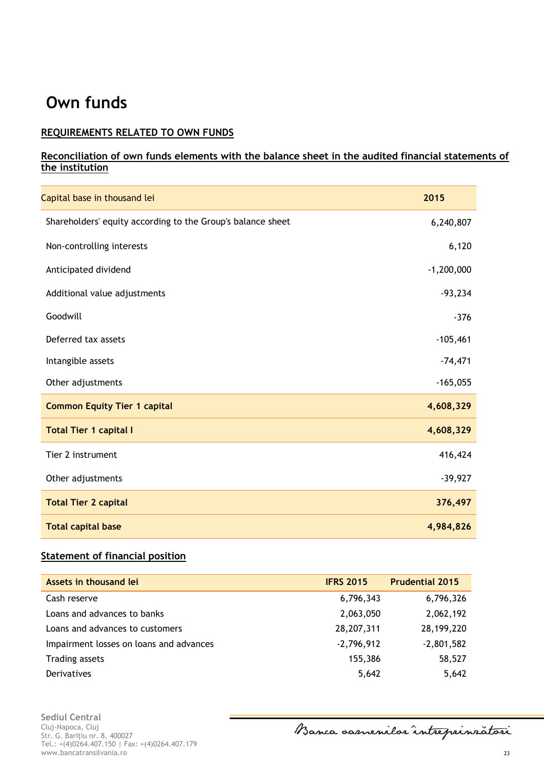# <span id="page-22-0"></span>**Own funds**

## **REQUIREMENTS RELATED TO OWN FUNDS**

## **Reconciliation of own funds elements with the balance sheet in the audited financial statements of the institution**

| Capital base in thousand lei                                | 2015         |
|-------------------------------------------------------------|--------------|
| Shareholders' equity according to the Group's balance sheet | 6,240,807    |
| Non-controlling interests                                   | 6,120        |
| Anticipated dividend                                        | $-1,200,000$ |
| Additional value adjustments                                | $-93,234$    |
| Goodwill                                                    | $-376$       |
| Deferred tax assets                                         | $-105,461$   |
| Intangible assets                                           | $-74,471$    |
| Other adjustments                                           | $-165,055$   |
| <b>Common Equity Tier 1 capital</b>                         | 4,608,329    |
| <b>Total Tier 1 capital I</b>                               | 4,608,329    |
| Tier 2 instrument                                           | 416,424      |
| Other adjustments                                           | $-39,927$    |
| <b>Total Tier 2 capital</b>                                 | 376,497      |
| <b>Total capital base</b>                                   | 4,984,826    |

## **Statement of financial position**

| Assets in thousand lei                  | <b>IFRS 2015</b> | <b>Prudential 2015</b> |
|-----------------------------------------|------------------|------------------------|
| Cash reserve                            | 6,796,343        | 6,796,326              |
| Loans and advances to banks             | 2,063,050        | 2,062,192              |
| Loans and advances to customers         | 28,207,311       | 28,199,220             |
| Impairment losses on loans and advances | $-2,796,912$     | $-2,801,582$           |
| <b>Trading assets</b>                   | 155,386          | 58,527                 |
| Derivatives                             | 5,642            | 5,642                  |

**Sediul Central** Cluj-Napoca, Cluj Str. G. Bariţiu nr. 8, 400027 Tel.: +(4)0264.407.150 | Fax: +(4)0264.407.179 www.bancatransilvania.ro 23

Banca oamenilor intreprinzatori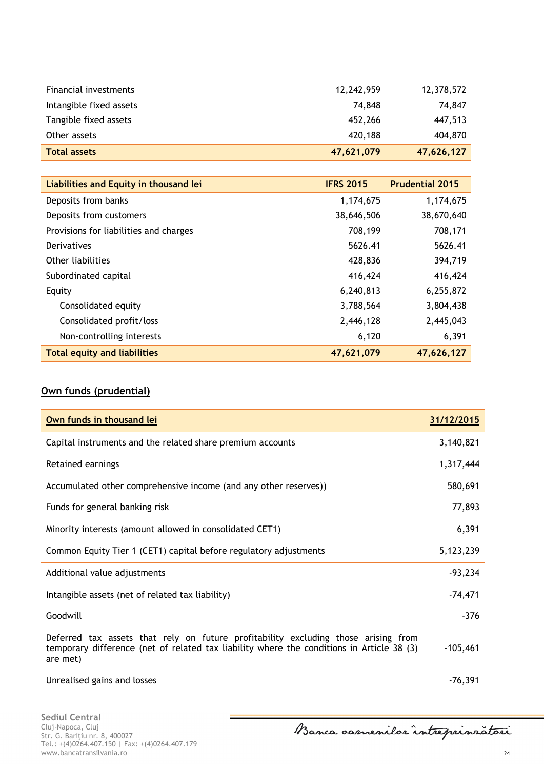| <b>Total assets</b>     | 47,621,079 | 47,626,127 |
|-------------------------|------------|------------|
| Other assets            | 420,188    | 404,870    |
| Tangible fixed assets   | 452,266    | 447,513    |
| Intangible fixed assets | 74.848     | 74,847     |
| Financial investments   | 12,242,959 | 12,378,572 |

| Liabilities and Equity in thousand lei | <b>IFRS 2015</b> | <b>Prudential 2015</b> |
|----------------------------------------|------------------|------------------------|
| Deposits from banks                    | 1,174,675        | 1,174,675              |
| Deposits from customers                | 38,646,506       | 38,670,640             |
| Provisions for liabilities and charges | 708,199          | 708,171                |
| Derivatives                            | 5626.41          | 5626.41                |
| Other liabilities                      | 428,836          | 394,719                |
| Subordinated capital                   | 416,424          | 416,424                |
| Equity                                 | 6,240,813        | 6,255,872              |
| Consolidated equity                    | 3,788,564        | 3,804,438              |
| Consolidated profit/loss               | 2,446,128        | 2,445,043              |
| Non-controlling interests              | 6,120            | 6,391                  |
| <b>Total equity and liabilities</b>    | 47,621,079       | 47,626,127             |

## **Own funds (prudential)**

| Own funds in thousand lei                                                                                                                                                                   | 31/12/2015 |
|---------------------------------------------------------------------------------------------------------------------------------------------------------------------------------------------|------------|
| Capital instruments and the related share premium accounts                                                                                                                                  | 3,140,821  |
| Retained earnings                                                                                                                                                                           | 1,317,444  |
| Accumulated other comprehensive income (and any other reserves))                                                                                                                            | 580,691    |
| Funds for general banking risk                                                                                                                                                              | 77,893     |
| Minority interests (amount allowed in consolidated CET1)                                                                                                                                    | 6,391      |
| Common Equity Tier 1 (CET1) capital before regulatory adjustments                                                                                                                           | 5,123,239  |
| Additional value adjustments                                                                                                                                                                | $-93,234$  |
| Intangible assets (net of related tax liability)                                                                                                                                            | $-74,471$  |
| Goodwill                                                                                                                                                                                    | $-376$     |
| Deferred tax assets that rely on future profitability excluding those arising from<br>temporary difference (net of related tax liability where the conditions in Article 38 (3)<br>are met) | $-105,461$ |
| Unrealised gains and losses                                                                                                                                                                 | $-76,391$  |

**Sediul Central** Cluj-Napoca, Cluj Str. G. Bariţiu nr. 8, 400027 Tel.: +(4)0264.407.150 | Fax: +(4)0264.407.179 www.bancatransilvania.ro 24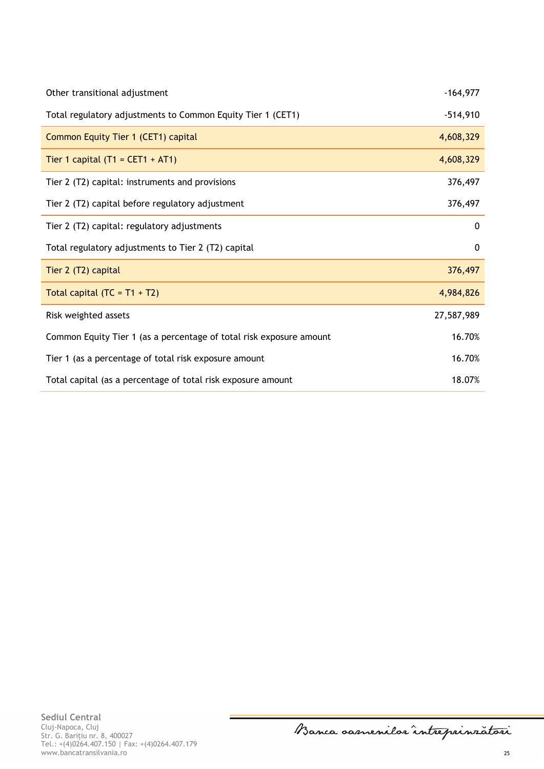| Other transitional adjustment                                       | $-164,977$  |
|---------------------------------------------------------------------|-------------|
| Total regulatory adjustments to Common Equity Tier 1 (CET1)         | $-514,910$  |
| Common Equity Tier 1 (CET1) capital                                 | 4,608,329   |
| Tier 1 capital $(T1 = CET1 + AT1)$                                  | 4,608,329   |
| Tier 2 (T2) capital: instruments and provisions                     | 376,497     |
| Tier 2 (T2) capital before regulatory adjustment                    | 376,497     |
| Tier 2 (T2) capital: regulatory adjustments                         | 0           |
| Total regulatory adjustments to Tier 2 (T2) capital                 | $\mathbf 0$ |
| Tier 2 (T2) capital                                                 | 376,497     |
| Total capital $(TC = T1 + T2)$                                      | 4,984,826   |
| Risk weighted assets                                                | 27,587,989  |
| Common Equity Tier 1 (as a percentage of total risk exposure amount | 16.70%      |
| Tier 1 (as a percentage of total risk exposure amount               | 16.70%      |
| Total capital (as a percentage of total risk exposure amount        | 18.07%      |

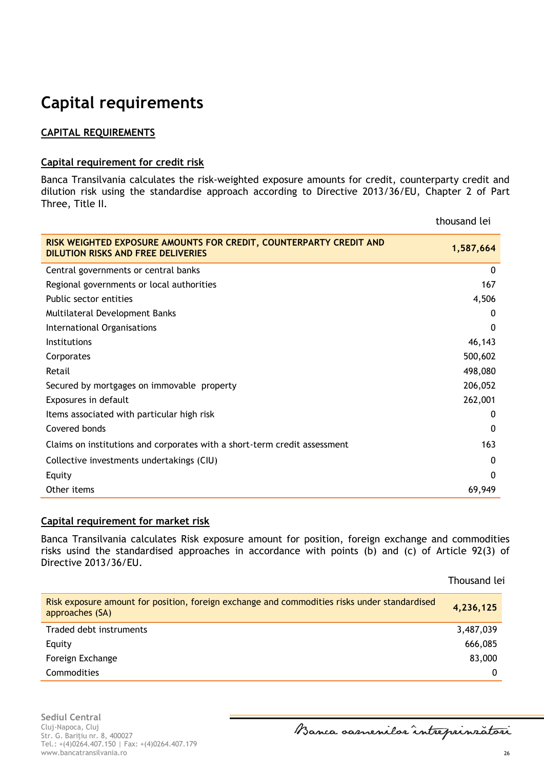# <span id="page-25-0"></span>**Capital requirements**

## **CAPITAL REQUIREMENTS**

### **Capital requirement for credit risk**

Banca Transilvania calculates the risk-weighted exposure amounts for credit, counterparty credit and dilution risk using the standardise approach according to Directive 2013/36/EU, Chapter 2 of Part Three, Title II.

|                                                                                                                 | thousand tel |
|-----------------------------------------------------------------------------------------------------------------|--------------|
| RISK WEIGHTED EXPOSURE AMOUNTS FOR CREDIT, COUNTERPARTY CREDIT AND<br><b>DILUTION RISKS AND FREE DELIVERIES</b> | 1,587,664    |
| Central governments or central banks                                                                            | $\Omega$     |
| Regional governments or local authorities                                                                       | 167          |
| Public sector entities                                                                                          | 4,506        |
| Multilateral Development Banks                                                                                  | 0            |
| International Organisations                                                                                     | $\Omega$     |
| <b>Institutions</b>                                                                                             | 46,143       |
| Corporates                                                                                                      | 500,602      |
| Retail                                                                                                          | 498,080      |
| Secured by mortgages on immovable property                                                                      | 206,052      |
| Exposures in default                                                                                            | 262,001      |
| Items associated with particular high risk                                                                      | 0            |
| Covered bonds                                                                                                   | $\mathbf 0$  |
| Claims on institutions and corporates with a short-term credit assessment                                       | 163          |
| Collective investments undertakings (CIU)                                                                       | $\mathbf{0}$ |
| Equity                                                                                                          | 0            |
| Other items                                                                                                     | 69,949       |

## **Capital requirement for market risk**

Banca Transilvania calculates Risk exposure amount for position, foreign exchange and commodities risks usind the standardised approaches in accordance with points (b) and (c) of Article 92(3) of Directive 2013/36/EU.

| Risk exposure amount for position, foreign exchange and commodities risks under standardised<br>approaches (SA) | 4,236,125 |
|-----------------------------------------------------------------------------------------------------------------|-----------|
| Traded debt instruments                                                                                         | 3,487,039 |
| Equity                                                                                                          | 666,085   |
| Foreign Exchange                                                                                                | 83,000    |
| <b>Commodities</b>                                                                                              |           |

**Sediul Central** Cluj-Napoca, Cluj Str. G. Bariţiu nr. 8, 400027 Tel.: +(4)0264.407.150 | Fax: +(4)0264.407.179 www.bancatransilvania.ro 26

Banca oasnenilor intreprinzatori

26

Thousand lei

thousand lei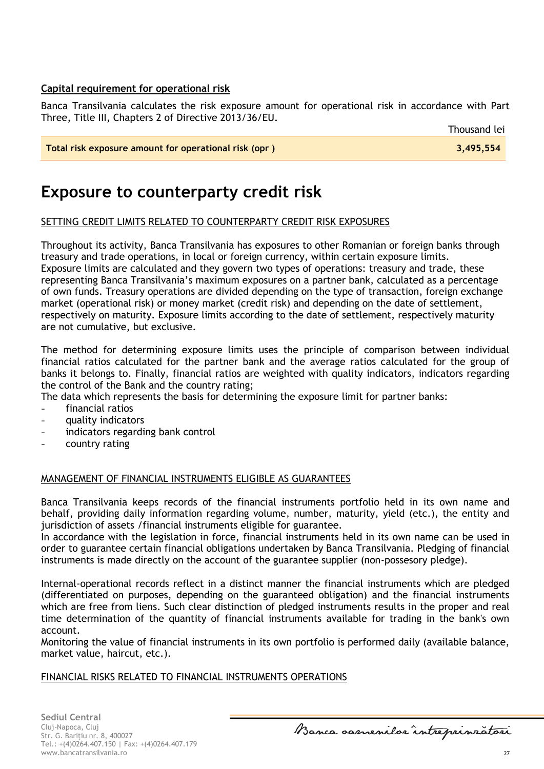## **Capital requirement for operational risk**

Banca Transilvania calculates the risk exposure amount for operational risk in accordance with Part Three, Title III, Chapters 2 of Directive 2013/36/EU.

| Total risk exposure amount for operational risk (opr) | 3,495,554 |
|-------------------------------------------------------|-----------|
|                                                       |           |

## <span id="page-26-0"></span>**Exposure to counterparty credit risk**

## SETTING CREDIT LIMITS RELATED TO COUNTERPARTY CREDIT RISK EXPOSURES

Throughout its activity, Banca Transilvania has exposures to other Romanian or foreign banks through treasury and trade operations, in local or foreign currency, within certain exposure limits. Exposure limits are calculated and they govern two types of operations: treasury and trade, these representing Banca Transilvania's maximum exposures on a partner bank, calculated as a percentage of own funds. Treasury operations are divided depending on the type of transaction, foreign exchange market (operational risk) or money market (credit risk) and depending on the date of settlement, respectively on maturity. Exposure limits according to the date of settlement, respectively maturity are not cumulative, but exclusive.

The method for determining exposure limits uses the principle of comparison between individual financial ratios calculated for the partner bank and the average ratios calculated for the group of banks it belongs to. Finally, financial ratios are weighted with quality indicators, indicators regarding the control of the Bank and the country rating;

The data which represents the basis for determining the exposure limit for partner banks:

- financial ratios
- quality indicators
- indicators regarding bank control
- country rating

### MANAGEMENT OF FINANCIAL INSTRUMENTS ELIGIBLE AS GUARANTEES

Banca Transilvania keeps records of the financial instruments portfolio held in its own name and behalf, providing daily information regarding volume, number, maturity, yield (etc.), the entity and jurisdiction of assets /financial instruments eligible for guarantee.

In accordance with the legislation in force, financial instruments held in its own name can be used in order to guarantee certain financial obligations undertaken by Banca Transilvania. Pledging of financial instruments is made directly on the account of the guarantee supplier (non-possesory pledge).

Internal-operational records reflect in a distinct manner the financial instruments which are pledged (differentiated on purposes, depending on the guaranteed obligation) and the financial instruments which are free from liens. Such clear distinction of pledged instruments results in the proper and real time determination of the quantity of financial instruments available for trading in the bank's own account.

Monitoring the value of financial instruments in its own portfolio is performed daily (available balance, market value, haircut, etc.).

#### FINANCIAL RISKS RELATED TO FINANCIAL INSTRUMENTS OPERATIONS

Banca samenilor intreprinratori

27

Thousand lei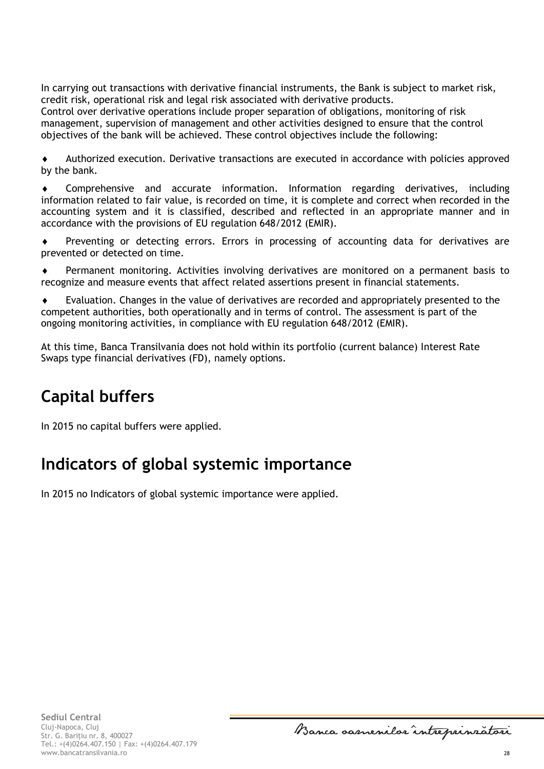In carrying out transactions with derivative financial instruments, the Bank is subject to market risk, credit risk, operational risk and legal risk associated with derivative products.

Control over derivative operations include proper separation of obligations, monitoring of risk management, supervision of management and other activities designed to ensure that the control objectives of the bank will be achieved. These control objectives include the following:

 Authorized execution. Derivative transactions are executed in accordance with policies approved by the bank.

 Comprehensive and accurate information. Information regarding derivatives, including information related to fair value, is recorded on time, it is complete and correct when recorded in the accounting system and it is classified, described and reflected in an appropriate manner and in accordance with the provisions of EU regulation 648/2012 (EMIR).

 Preventing or detecting errors. Errors in processing of accounting data for derivatives are prevented or detected on time.

 Permanent monitoring. Activities involving derivatives are monitored on a permanent basis to recognize and measure events that affect related assertions present in financial statements.

 Evaluation. Changes in the value of derivatives are recorded and appropriately presented to the competent authorities, both operationally and in terms of control. The assessment is part of the ongoing monitoring activities, in compliance with EU regulation 648/2012 (EMIR).

At this time, Banca Transilvania does not hold within its portfolio (current balance) Interest Rate Swaps type financial derivatives (FD), namely options.

# <span id="page-27-0"></span>**Capital buffers**

In 2015 no capital buffers were applied.

## <span id="page-27-1"></span>**Indicators of global systemic importance**

In 2015 no Indicators of global systemic importance were applied.

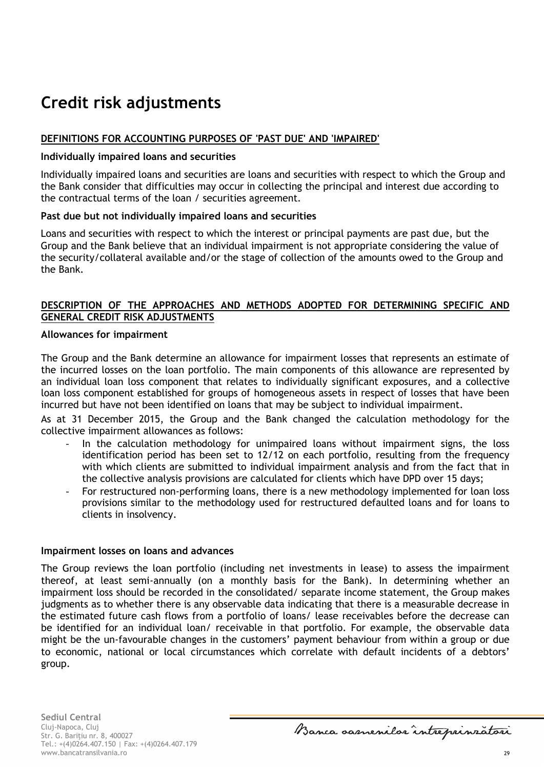# <span id="page-28-0"></span>**Credit risk adjustments**

## **DEFINITIONS FOR ACCOUNTING PURPOSES OF 'PAST DUE' AND 'IMPAIRED'**

#### **Individually impaired loans and securities**

Individually impaired loans and securities are loans and securities with respect to which the Group and the Bank consider that difficulties may occur in collecting the principal and interest due according to the contractual terms of the loan / securities agreement.

### **Past due but not individually impaired loans and securities**

Loans and securities with respect to which the interest or principal payments are past due, but the Group and the Bank believe that an individual impairment is not appropriate considering the value of the security/collateral available and/or the stage of collection of the amounts owed to the Group and the Bank.

## **DESCRIPTION OF THE APPROACHES AND METHODS ADOPTED FOR DETERMINING SPECIFIC AND GENERAL CREDIT RISK ADJUSTMENTS**

#### **Allowances for impairment**

The Group and the Bank determine an allowance for impairment losses that represents an estimate of the incurred losses on the loan portfolio. The main components of this allowance are represented by an individual loan loss component that relates to individually significant exposures, and a collective loan loss component established for groups of homogeneous assets in respect of losses that have been incurred but have not been identified on loans that may be subject to individual impairment.

As at 31 December 2015, the Group and the Bank changed the calculation methodology for the collective impairment allowances as follows:

- In the calculation methodology for unimpaired loans without impairment signs, the loss identification period has been set to 12/12 on each portfolio, resulting from the frequency with which clients are submitted to individual impairment analysis and from the fact that in the collective analysis provisions are calculated for clients which have DPD over 15 days;
- For restructured non-performing loans, there is a new methodology implemented for loan loss provisions similar to the methodology used for restructured defaulted loans and for loans to clients in insolvency.

#### **Impairment losses on loans and advances**

The Group reviews the loan portfolio (including net investments in lease) to assess the impairment thereof, at least semi-annually (on a monthly basis for the Bank). In determining whether an impairment loss should be recorded in the consolidated/ separate income statement, the Group makes judgments as to whether there is any observable data indicating that there is a measurable decrease in the estimated future cash flows from a portfolio of loans/ lease receivables before the decrease can be identified for an individual loan/ receivable in that portfolio. For example, the observable data might be the un-favourable changes in the customers' payment behaviour from within a group or due to economic, national or local circumstances which correlate with default incidents of a debtors' group.

Banca samenilor intreprinratori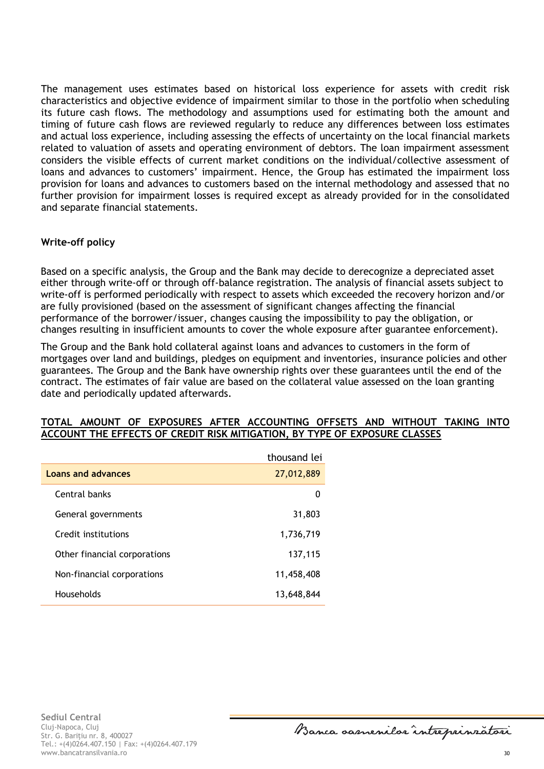The management uses estimates based on historical loss experience for assets with credit risk characteristics and objective evidence of impairment similar to those in the portfolio when scheduling its future cash flows. The methodology and assumptions used for estimating both the amount and timing of future cash flows are reviewed regularly to reduce any differences between loss estimates and actual loss experience, including assessing the effects of uncertainty on the local financial markets related to valuation of assets and operating environment of debtors. The loan impairment assessment considers the visible effects of current market conditions on the individual/collective assessment of loans and advances to customers' impairment. Hence, the Group has estimated the impairment loss provision for loans and advances to customers based on the internal methodology and assessed that no further provision for impairment losses is required except as already provided for in the consolidated and separate financial statements.

## **Write-off policy**

Based on a specific analysis, the Group and the Bank may decide to derecognize a depreciated asset either through write-off or through off-balance registration. The analysis of financial assets subject to write-off is performed periodically with respect to assets which exceeded the recovery horizon and/or are fully provisioned (based on the assessment of significant changes affecting the financial performance of the borrower/issuer, changes causing the impossibility to pay the obligation, or changes resulting in insufficient amounts to cover the whole exposure after guarantee enforcement).

The Group and the Bank hold collateral against loans and advances to customers in the form of mortgages over land and buildings, pledges on equipment and inventories, insurance policies and other guarantees. The Group and the Bank have ownership rights over these guarantees until the end of the contract. The estimates of fair value are based on the collateral value assessed on the loan granting date and periodically updated afterwards.

#### **TOTAL AMOUNT OF EXPOSURES AFTER ACCOUNTING OFFSETS AND WITHOUT TAKING INTO ACCOUNT THE EFFECTS OF CREDIT RISK MITIGATION, BY TYPE OF EXPOSURE CLASSES**

|                              | thousand lei |
|------------------------------|--------------|
| <b>Loans and advances</b>    | 27,012,889   |
| Central banks                | 0            |
| General governments          | 31,803       |
| Credit institutions          | 1,736,719    |
| Other financial corporations | 137,115      |
| Non-financial corporations   | 11,458,408   |
| Households                   | 13,648,844   |

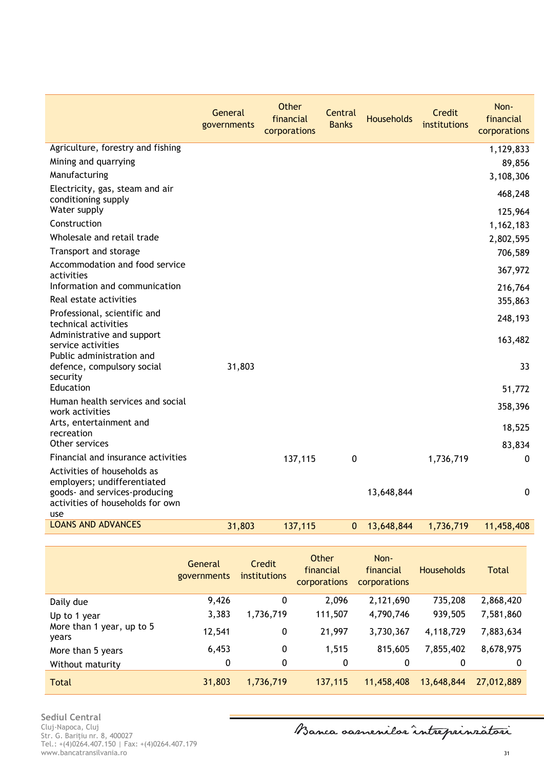|                                                                                                                                        | General<br>governments | <b>Other</b><br>financial<br>corporations | Central<br><b>Banks</b> | <b>Households</b> | Credit<br>institutions | Non-<br>financial<br>corporations |
|----------------------------------------------------------------------------------------------------------------------------------------|------------------------|-------------------------------------------|-------------------------|-------------------|------------------------|-----------------------------------|
| Agriculture, forestry and fishing                                                                                                      |                        |                                           |                         |                   |                        | 1,129,833                         |
| Mining and quarrying                                                                                                                   |                        |                                           |                         |                   |                        | 89,856                            |
| Manufacturing                                                                                                                          |                        |                                           |                         |                   |                        | 3,108,306                         |
| Electricity, gas, steam and air<br>conditioning supply<br>Water supply                                                                 |                        |                                           |                         |                   |                        | 468,248<br>125,964                |
| Construction                                                                                                                           |                        |                                           |                         |                   |                        | 1,162,183                         |
| Wholesale and retail trade                                                                                                             |                        |                                           |                         |                   |                        | 2,802,595                         |
| Transport and storage                                                                                                                  |                        |                                           |                         |                   |                        | 706,589                           |
| Accommodation and food service<br>activities                                                                                           |                        |                                           |                         |                   |                        | 367,972                           |
| Information and communication                                                                                                          |                        |                                           |                         |                   |                        | 216,764                           |
| Real estate activities                                                                                                                 |                        |                                           |                         |                   |                        | 355,863                           |
| Professional, scientific and<br>technical activities                                                                                   |                        |                                           |                         |                   |                        | 248,193                           |
| Administrative and support<br>service activities<br>Public administration and                                                          |                        |                                           |                         |                   |                        | 163,482                           |
| defence, compulsory social<br>security                                                                                                 | 31,803                 |                                           |                         |                   |                        | 33                                |
| Education                                                                                                                              |                        |                                           |                         |                   |                        | 51,772                            |
| Human health services and social<br>work activities                                                                                    |                        |                                           |                         |                   |                        | 358,396                           |
| Arts, entertainment and<br>recreation                                                                                                  |                        |                                           |                         |                   |                        | 18,525                            |
| Other services                                                                                                                         |                        |                                           |                         |                   |                        | 83,834                            |
| Financial and insurance activities                                                                                                     |                        | 137,115                                   | 0                       |                   | 1,736,719              | $\mathbf 0$                       |
| Activities of households as<br>employers; undifferentiated<br>goods- and services-producing<br>activities of households for own<br>use |                        |                                           |                         | 13,648,844        |                        | $\mathbf 0$                       |
| <b>LOANS AND ADVANCES</b>                                                                                                              | 31,803                 | 137,115                                   | $\mathbf{0}$            | 13,648,844        | 1,736,719              | 11,458,408                        |

|                                    | General<br>governments | Credit<br>institutions | Other<br>financial<br>corporations | Non-<br>financial<br><b>corporations</b> | <b>Households</b> | <b>Total</b> |
|------------------------------------|------------------------|------------------------|------------------------------------|------------------------------------------|-------------------|--------------|
| Daily due                          | 9,426                  | 0                      | 2,096                              | 2,121,690                                | 735,208           | 2,868,420    |
| Up to 1 year                       | 3,383                  | 1,736,719              | 111,507                            | 4,790,746                                | 939,505           | 7,581,860    |
| More than 1 year, up to 5<br>years | 12,541                 | 0                      | 21,997                             | 3,730,367                                | 4,118,729         | 7,883,634    |
| More than 5 years                  | 6,453                  | 0                      | 1,515                              | 815,605                                  | 7,855,402         | 8,678,975    |
| Without maturity                   | 0                      | 0                      | 0                                  | 0                                        | 0                 | 0            |
| <b>Total</b>                       | 31,803                 | 1,736,719              | 137,115                            | 11,458,408                               | 13,648,844        | 27,012,889   |

**Sediul Central** Cluj-Napoca, Cluj Str. G. Bariţiu nr. 8, 400027 Tel.: +(4)0264.407.150 | Fax: +(4)0264.407.179 www.bancatransilvania.ro 31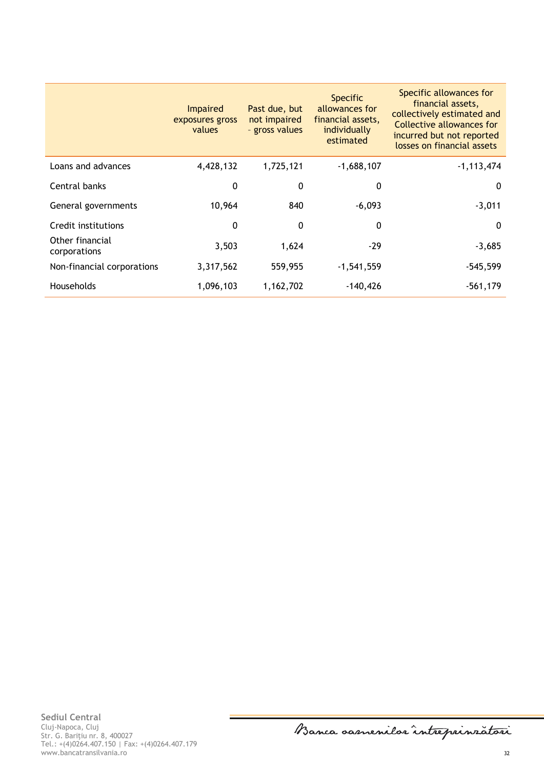|                                 | <b>Impaired</b><br>exposures gross<br>values | Past due, but<br>not impaired<br>- gross values | <b>Specific</b><br>allowances for<br>financial assets,<br>individually<br>estimated | Specific allowances for<br>financial assets,<br>collectively estimated and<br>Collective allowances for<br>incurred but not reported<br>losses on financial assets |
|---------------------------------|----------------------------------------------|-------------------------------------------------|-------------------------------------------------------------------------------------|--------------------------------------------------------------------------------------------------------------------------------------------------------------------|
| Loans and advances              | 4,428,132                                    | 1,725,121                                       | $-1,688,107$                                                                        | $-1, 113, 474$                                                                                                                                                     |
| Central banks                   | 0                                            | 0                                               | 0                                                                                   | $\mathbf{0}$                                                                                                                                                       |
| General governments             | 10,964                                       | 840                                             | $-6,093$                                                                            | $-3,011$                                                                                                                                                           |
| Credit institutions             | 0                                            | 0                                               | 0                                                                                   | $\Omega$                                                                                                                                                           |
| Other financial<br>corporations | 3,503                                        | 1,624                                           | $-29$                                                                               | $-3,685$                                                                                                                                                           |
| Non-financial corporations      | 3,317,562                                    | 559,955                                         | $-1,541,559$                                                                        | $-545,599$                                                                                                                                                         |
| Households                      | 1,096,103                                    | 1,162,702                                       | $-140,426$                                                                          | $-561,179$                                                                                                                                                         |

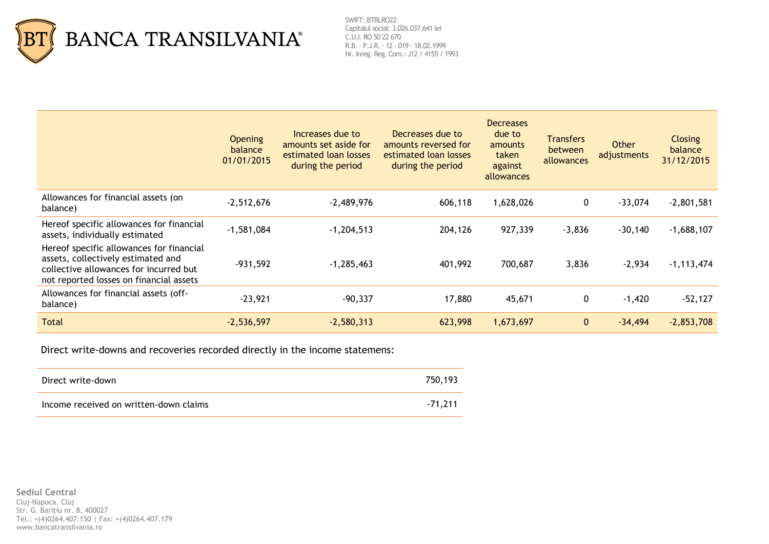

SWIFT: BTRLRO22 Capitalul social: 3.026.037.641 lei C.U.I. RO 50 22 670 R.B. - P.J.R. - 12 - 019 - 18.02.1999 Nr. Inreg. Reg. Com.: J12 / 4155 / 1993

|                                                                                                                                                                     | <b>Opening</b><br>balance<br>01/01/2015 | Increases due to<br>amounts set aside for<br>estimated loan losses<br>during the period | Decreases due to<br>amounts reversed for<br>estimated loan losses<br>during the period | <b>Decreases</b><br>due to<br>amounts<br>taken<br>against<br>allowances | <b>Transfers</b><br>between<br>allowances | Other<br>adjustments | <b>Closing</b><br><b>balance</b><br>31/12/2015 |
|---------------------------------------------------------------------------------------------------------------------------------------------------------------------|-----------------------------------------|-----------------------------------------------------------------------------------------|----------------------------------------------------------------------------------------|-------------------------------------------------------------------------|-------------------------------------------|----------------------|------------------------------------------------|
| Allowances for financial assets (on<br>balance)                                                                                                                     | $-2,512,676$                            | $-2,489,976$                                                                            | 606,118                                                                                | 1,628,026                                                               | $\boldsymbol{0}$                          | $-33,074$            | $-2,801,581$                                   |
| Hereof specific allowances for financial<br>assets, individually estimated                                                                                          | $-1,581,084$                            | $-1,204,513$                                                                            | 204,126                                                                                | 927,339                                                                 | $-3,836$                                  | $-30,140$            | $-1,688,107$                                   |
| Hereof specific allowances for financial<br>assets, collectively estimated and<br>collective allowances for incurred but<br>not reported losses on financial assets | $-931,592$                              | $-1,285,463$                                                                            | 401,992                                                                                | 700,687                                                                 | 3,836                                     | $-2,934$             | $-1, 113, 474$                                 |
| Allowances for financial assets (off-<br>balance)                                                                                                                   | $-23,921$                               | $-90,337$                                                                               | 17,880                                                                                 | 45,671                                                                  | $\mathbf 0$                               | $-1,420$             | $-52,127$                                      |
| <b>Total</b>                                                                                                                                                        | $-2,536,597$                            | $-2,580,313$                                                                            | 623,998                                                                                | 1,673,697                                                               | $\mathbf{0}$                              | $-34,494$            | $-2,853,708$                                   |

Direct write-downs and recoveries recorded directly in the income statemens:

| Direct write-down                      | 750,193   |
|----------------------------------------|-----------|
| Income received on written-down claims | $-71.211$ |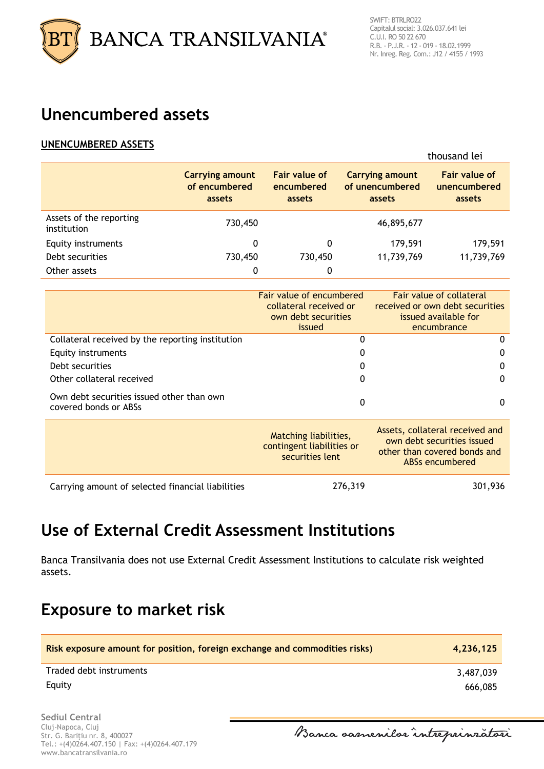

## <span id="page-33-0"></span>**Unencumbered assets**

## **UNENCUMBERED ASSETS**

|                                        |                                                   |                                              |                                                     | thousand lei                                   |
|----------------------------------------|---------------------------------------------------|----------------------------------------------|-----------------------------------------------------|------------------------------------------------|
|                                        | <b>Carrying amount</b><br>of encumbered<br>assets | <b>Fair value of</b><br>encumbered<br>assets | <b>Carrying amount</b><br>of unencumbered<br>assets | <b>Fair value of</b><br>unencumbered<br>assets |
| Assets of the reporting<br>institution | 730,450                                           |                                              | 46,895,677                                          |                                                |
| Equity instruments                     | 0                                                 | 0                                            | 179,591                                             | 179,591                                        |
| Debt securities                        | 730,450                                           | 730,450                                      | 11,739,769                                          | 11,739,769                                     |
| Other assets                           | 0                                                 | 0                                            |                                                     |                                                |

|                                                                    | Fair value of encumbered<br>collateral received or<br>own debt securities<br>issued | Fair value of collateral<br>received or own debt securities<br>issued available for<br>encumbrance               |
|--------------------------------------------------------------------|-------------------------------------------------------------------------------------|------------------------------------------------------------------------------------------------------------------|
| Collateral received by the reporting institution                   | 0                                                                                   | 0                                                                                                                |
| Equity instruments                                                 | 0                                                                                   | 0                                                                                                                |
| Debt securities                                                    | 0                                                                                   | 0                                                                                                                |
| Other collateral received                                          | 0                                                                                   | 0                                                                                                                |
| Own debt securities issued other than own<br>covered bonds or ABSs | 0                                                                                   | 0                                                                                                                |
|                                                                    | Matching liabilities,<br>contingent liabilities or<br>securities lent               | Assets, collateral received and<br>own debt securities issued<br>other than covered bonds and<br>ABSs encumbered |
| Carrying amount of selected financial liabilities                  | 276,319                                                                             | 301,936                                                                                                          |

## <span id="page-33-1"></span>**Use of External Credit Assessment Institutions**

Banca Transilvania does not use External Credit Assessment Institutions to calculate risk weighted assets.

## <span id="page-33-2"></span>**Exposure to market risk**

| Risk exposure amount for position, foreign exchange and commodities risks) | 4.236.125 |
|----------------------------------------------------------------------------|-----------|
| Traded debt instruments                                                    | 3,487,039 |
| Equity                                                                     | 666,085   |

**Sediul Central** Cluj-Napoca, Cluj Str. G. Bariţiu nr. 8, 400027 Tel.: +(4)0264.407.150 | Fax: +(4)0264.407.179 www.bancatransilvania.ro

Banca samenilor intreprinratori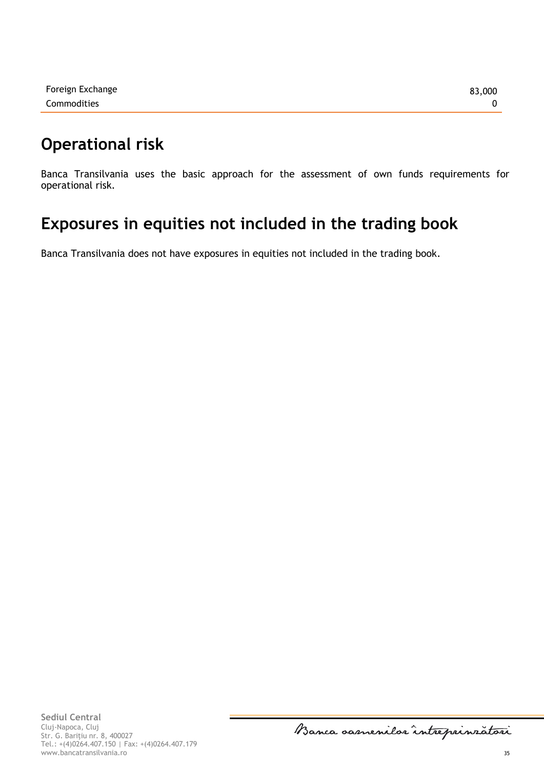## <span id="page-34-0"></span>**Operational risk**

Banca Transilvania uses the basic approach for the assessment of own funds requirements for operational risk.

## <span id="page-34-1"></span>**Exposures in equities not included in the trading book**

Banca Transilvania does not have exposures in equities not included in the trading book.

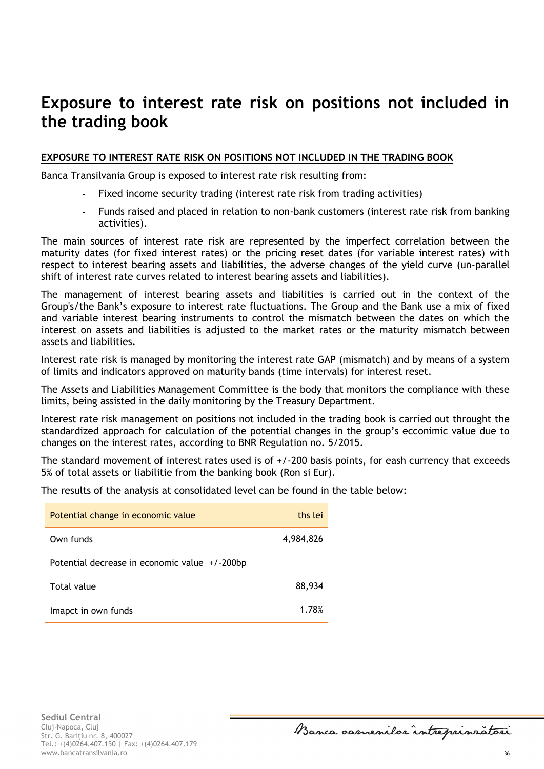## <span id="page-35-0"></span>**Exposure to interest rate risk on positions not included in the trading book**

### **EXPOSURE TO INTEREST RATE RISK ON POSITIONS NOT INCLUDED IN THE TRADING BOOK**

Banca Transilvania Group is exposed to interest rate risk resulting from:

- Fixed income security trading (interest rate risk from trading activities)
- Funds raised and placed in relation to non-bank customers (interest rate risk from banking activities).

The main sources of interest rate risk are represented by the imperfect correlation between the maturity dates (for fixed interest rates) or the pricing reset dates (for variable interest rates) with respect to interest bearing assets and liabilities, the adverse changes of the yield curve (un-parallel shift of interest rate curves related to interest bearing assets and liabilities).

The management of interest bearing assets and liabilities is carried out in the context of the Group's/the Bank's exposure to interest rate fluctuations. The Group and the Bank use a mix of fixed and variable interest bearing instruments to control the mismatch between the dates on which the interest on assets and liabilities is adjusted to the market rates or the maturity mismatch between assets and liabilities.

Interest rate risk is managed by monitoring the interest rate GAP (mismatch) and by means of a system of limits and indicators approved on maturity bands (time intervals) for interest reset.

The Assets and Liabilities Management Committee is the body that monitors the compliance with these limits, being assisted in the daily monitoring by the Treasury Department.

Interest rate risk management on positions not included in the trading book is carried out throught the standardized approach for calculation of the potential changes in the group's ecconimic value due to changes on the interest rates, according to BNR Regulation no. 5/2015.

The standard movement of interest rates used is of  $+/-200$  basis points, for eash currency that exceeds 5% of total assets or liabilitie from the banking book (Ron si Eur).

The results of the analysis at consolidated level can be found in the table below:

| Potential change in economic value            | ths lei   |
|-----------------------------------------------|-----------|
| Own funds                                     | 4,984,826 |
| Potential decrease in economic value +/-200bp |           |
| Total value                                   | 88,934    |
| Imapct in own funds                           | 1.78%     |

Banca samenilor intreprinratori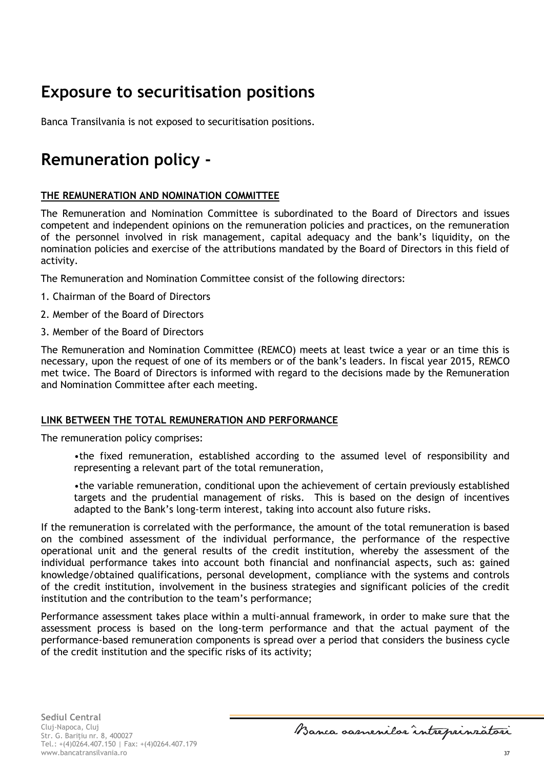# <span id="page-36-0"></span>**Exposure to securitisation positions**

Banca Transilvania is not exposed to securitisation positions.

# <span id="page-36-1"></span>**Remuneration policy -**

## **THE REMUNERATION AND NOMINATION COMMITTEE**

The Remuneration and Nomination Committee is subordinated to the Board of Directors and issues competent and independent opinions on the remuneration policies and practices, on the remuneration of the personnel involved in risk management, capital adequacy and the bank's liquidity, on the nomination policies and exercise of the attributions mandated by the Board of Directors in this field of activity.

The Remuneration and Nomination Committee consist of the following directors:

- 1. Chairman of the Board of Directors
- 2. Member of the Board of Directors
- 3. Member of the Board of Directors

The Remuneration and Nomination Committee (REMCO) meets at least twice a year or an time this is necessary, upon the request of one of its members or of the bank's leaders. In fiscal year 2015, REMCO met twice. The Board of Directors is informed with regard to the decisions made by the Remuneration and Nomination Committee after each meeting.

### **LINK BETWEEN THE TOTAL REMUNERATION AND PERFORMANCE**

The remuneration policy comprises:

•the fixed remuneration, established according to the assumed level of responsibility and representing a relevant part of the total remuneration,

•the variable remuneration, conditional upon the achievement of certain previously established targets and the prudential management of risks. This is based on the design of incentives adapted to the Bank's long-term interest, taking into account also future risks.

If the remuneration is correlated with the performance, the amount of the total remuneration is based on the combined assessment of the individual performance, the performance of the respective operational unit and the general results of the credit institution, whereby the assessment of the individual performance takes into account both financial and nonfinancial aspects, such as: gained knowledge/obtained qualifications, personal development, compliance with the systems and controls of the credit institution, involvement in the business strategies and significant policies of the credit institution and the contribution to the team's performance;

Performance assessment takes place within a multi-annual framework, in order to make sure that the assessment process is based on the long-term performance and that the actual payment of the performance-based remuneration components is spread over a period that considers the business cycle of the credit institution and the specific risks of its activity;

Banca samenilor intreprinratori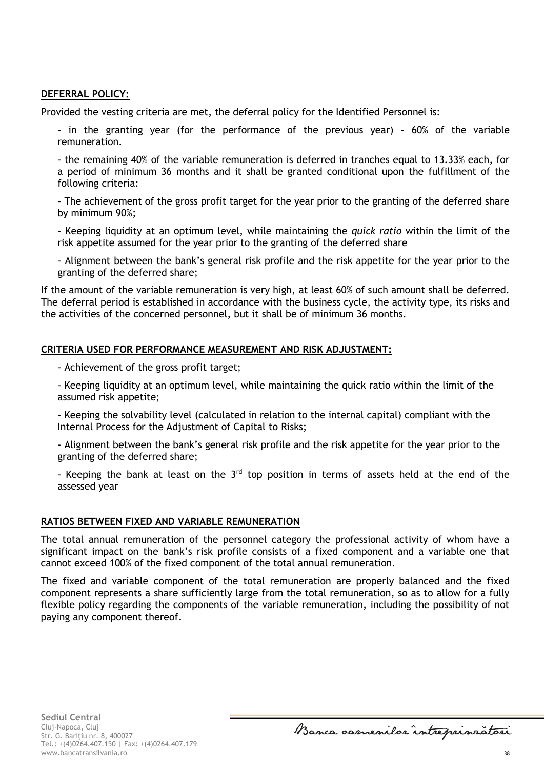#### **DEFERRAL POLICY:**

Provided the vesting criteria are met, the deferral policy for the Identified Personnel is:

- in the granting year (for the performance of the previous year) - 60% of the variable remuneration.

- the remaining 40% of the variable remuneration is deferred in tranches equal to 13.33% each, for a period of minimum 36 months and it shall be granted conditional upon the fulfillment of the following criteria:

- The achievement of the gross profit target for the year prior to the granting of the deferred share by minimum 90%;

- Keeping liquidity at an optimum level, while maintaining the *quick ratio* within the limit of the risk appetite assumed for the year prior to the granting of the deferred share

- Alignment between the bank's general risk profile and the risk appetite for the year prior to the granting of the deferred share;

If the amount of the variable remuneration is very high, at least 60% of such amount shall be deferred. The deferral period is established in accordance with the business cycle, the activity type, its risks and the activities of the concerned personnel, but it shall be of minimum 36 months.

### **CRITERIA USED FOR PERFORMANCE MEASUREMENT AND RISK ADJUSTMENT:**

- Achievement of the gross profit target;

- Keeping liquidity at an optimum level, while maintaining the quick ratio within the limit of the assumed risk appetite;

- Keeping the solvability level (calculated in relation to the internal capital) compliant with the Internal Process for the Adjustment of Capital to Risks;

- Alignment between the bank's general risk profile and the risk appetite for the year prior to the granting of the deferred share;

- Keeping the bank at least on the  $3<sup>rd</sup>$  top position in terms of assets held at the end of the assessed year

#### **RATIOS BETWEEN FIXED AND VARIABLE REMUNERATION**

The total annual remuneration of the personnel category the professional activity of whom have a significant impact on the bank's risk profile consists of a fixed component and a variable one that cannot exceed 100% of the fixed component of the total annual remuneration.

The fixed and variable component of the total remuneration are properly balanced and the fixed component represents a share sufficiently large from the total remuneration, so as to allow for a fully flexible policy regarding the components of the variable remuneration, including the possibility of not paying any component thereof.

Banca samenilar intreprinratori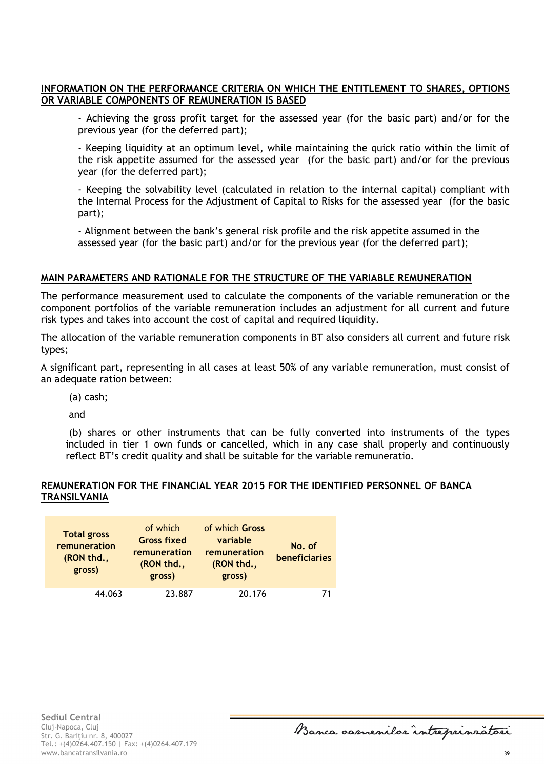## **INFORMATION ON THE PERFORMANCE CRITERIA ON WHICH THE ENTITLEMENT TO SHARES, OPTIONS OR VARIABLE COMPONENTS OF REMUNERATION IS BASED**

- Achieving the gross profit target for the assessed year (for the basic part) and/or for the previous year (for the deferred part);

- Keeping liquidity at an optimum level, while maintaining the quick ratio within the limit of the risk appetite assumed for the assessed year (for the basic part) and/or for the previous year (for the deferred part);

- Keeping the solvability level (calculated in relation to the internal capital) compliant with the Internal Process for the Adjustment of Capital to Risks for the assessed year (for the basic part);

- Alignment between the bank's general risk profile and the risk appetite assumed in the assessed year (for the basic part) and/or for the previous year (for the deferred part);

#### **MAIN PARAMETERS AND RATIONALE FOR THE STRUCTURE OF THE VARIABLE REMUNERATION**

The performance measurement used to calculate the components of the variable remuneration or the component portfolios of the variable remuneration includes an adjustment for all current and future risk types and takes into account the cost of capital and required liquidity.

The allocation of the variable remuneration components in BT also considers all current and future risk types;

A significant part, representing in all cases at least 50% of any variable remuneration, must consist of an adequate ration between:

(a) cash;

and

(b) shares or other instruments that can be fully converted into instruments of the types included in tier 1 own funds or cancelled, which in any case shall properly and continuously reflect BT's credit quality and shall be suitable for the variable remuneratio.

#### **REMUNERATION FOR THE FINANCIAL YEAR 2015 FOR THE IDENTIFIED PERSONNEL OF BANCA TRANSILVANIA**

| <b>Total gross</b><br>remuneration<br>(RON thd.,<br>gross) | of which<br><b>Gross fixed</b><br>remuneration<br>(RON thd.,<br>gross) | of which Gross<br>variable<br>remuneration<br>(RON thd.,<br>gross) | No. of<br><b>beneficiaries</b> |
|------------------------------------------------------------|------------------------------------------------------------------------|--------------------------------------------------------------------|--------------------------------|
| 44.063                                                     | 23.887                                                                 | 20.176                                                             |                                |

Banca samenilor intreprinratori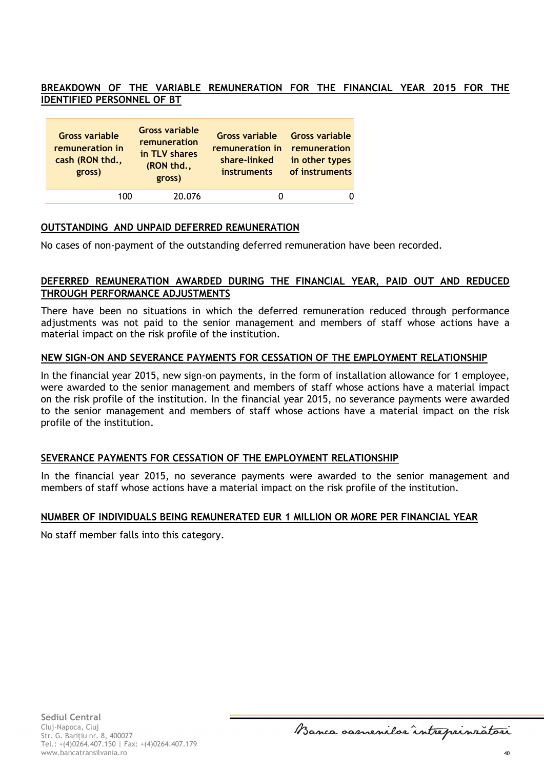## **BREAKDOWN OF THE VARIABLE REMUNERATION FOR THE FINANCIAL YEAR 2015 FOR THE IDENTIFIED PERSONNEL OF BT**

| <b>Gross variable</b><br>remuneration in<br>cash (RON thd.,<br>gross) | <b>Gross variable</b><br>remuneration<br>in TLV shares<br>(RON thd.,<br>gross) | <b>Gross variable</b><br>remuneration in remuneration<br>share-linked<br><b>instruments</b> | <b>Gross variable</b><br>in other types<br>of instruments |
|-----------------------------------------------------------------------|--------------------------------------------------------------------------------|---------------------------------------------------------------------------------------------|-----------------------------------------------------------|
| 100                                                                   | 20.076                                                                         |                                                                                             |                                                           |

#### **OUTSTANDING AND UNPAID DEFERRED REMUNERATION**

No cases of non-payment of the outstanding deferred remuneration have been recorded.

### **DEFERRED REMUNERATION AWARDED DURING THE FINANCIAL YEAR, PAID OUT AND REDUCED THROUGH PERFORMANCE ADJUSTMENTS**

There have been no situations in which the deferred remuneration reduced through performance adjustments was not paid to the senior management and members of staff whose actions have a material impact on the risk profile of the institution.

#### **NEW SIGN-ON AND SEVERANCE PAYMENTS FOR CESSATION OF THE EMPLOYMENT RELATIONSHIP**

In the financial year 2015, new sign-on payments, in the form of installation allowance for 1 employee, were awarded to the senior management and members of staff whose actions have a material impact on the risk profile of the institution. In the financial year 2015, no severance payments were awarded to the senior management and members of staff whose actions have a material impact on the risk profile of the institution.

### **SEVERANCE PAYMENTS FOR CESSATION OF THE EMPLOYMENT RELATIONSHIP**

In the financial year 2015, no severance payments were awarded to the senior management and members of staff whose actions have a material impact on the risk profile of the institution.

### **NUMBER OF INDIVIDUALS BEING REMUNERATED EUR 1 MILLION OR MORE PER FINANCIAL YEAR**

No staff member falls into this category.

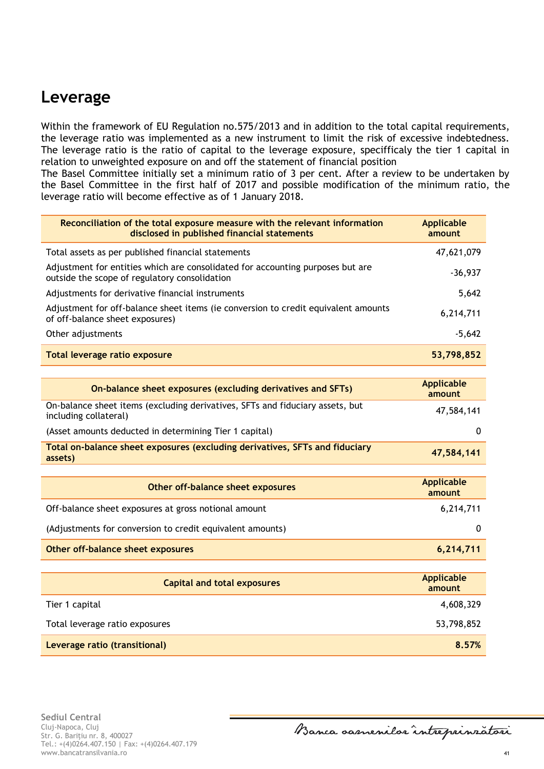## <span id="page-40-0"></span>**Leverage**

Within the framework of EU Regulation no.575/2013 and in addition to the total capital requirements, the leverage ratio was implemented as a new instrument to limit the risk of excessive indebtedness. The leverage ratio is the ratio of capital to the leverage exposure, specifficaly the tier 1 capital in relation to unweighted exposure on and off the statement of financial position

The Basel Committee initially set a minimum ratio of 3 per cent. After a review to be undertaken by the Basel Committee in the first half of 2017 and possible modification of the minimum ratio, the leverage ratio will become effective as of 1 January 2018.

| Reconciliation of the total exposure measure with the relevant information<br>disclosed in published financial statements       | <b>Applicable</b><br>amount |
|---------------------------------------------------------------------------------------------------------------------------------|-----------------------------|
| Total assets as per published financial statements                                                                              | 47,621,079                  |
| Adjustment for entities which are consolidated for accounting purposes but are<br>outside the scope of regulatory consolidation | $-36,937$                   |
| Adjustments for derivative financial instruments                                                                                | 5,642                       |
| Adjustment for off-balance sheet items (ie conversion to credit equivalent amounts<br>of off-balance sheet exposures)           | 6,214,711                   |
| Other adjustments                                                                                                               | $-5,642$                    |
| Total leverage ratio exposure                                                                                                   | 53,798,852                  |

| On-balance sheet exposures (excluding derivatives and SFTs)                                            | <b>Applicable</b><br>amount |
|--------------------------------------------------------------------------------------------------------|-----------------------------|
| On-balance sheet items (excluding derivatives, SFTs and fiduciary assets, but<br>including collateral) | 47,584,141                  |
| (Asset amounts deducted in determining Tier 1 capital)                                                 | 0                           |
| Total on-balance sheet exposures (excluding derivatives, SFTs and fiduciary<br>assets)                 | 47,584,141                  |

| Other off-balance sheet exposures                         | <b>Applicable</b><br>amount |
|-----------------------------------------------------------|-----------------------------|
| Off-balance sheet exposures at gross notional amount      | 6,214,711                   |
| (Adjustments for conversion to credit equivalent amounts) | 0                           |
| Other off-balance sheet exposures                         | 6,214,711                   |

| <b>Capital and total exposures</b> | <b>Applicable</b><br>amount |
|------------------------------------|-----------------------------|
| Tier 1 capital                     | 4,608,329                   |
| Total leverage ratio exposures     | 53,798,852                  |
| Leverage ratio (transitional)      | 8.57%                       |

Banca samenilor intreprinratori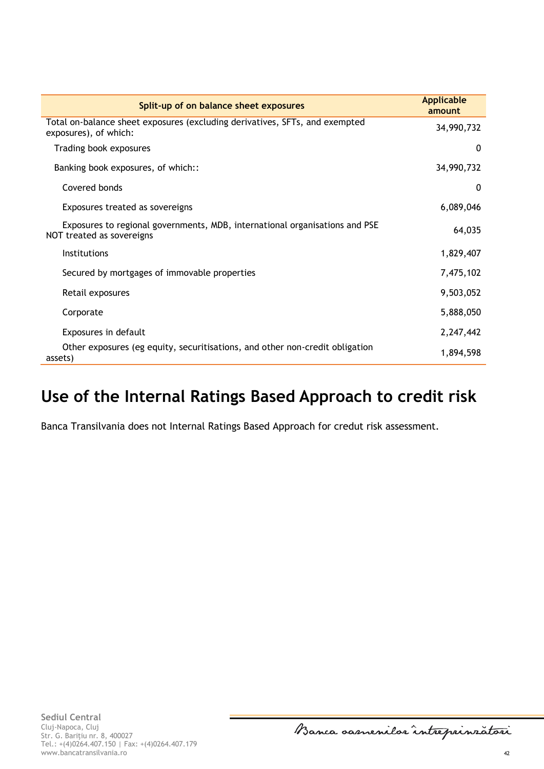| Split-up of on balance sheet exposures                                                                   | <b>Applicable</b><br>amount |
|----------------------------------------------------------------------------------------------------------|-----------------------------|
| Total on-balance sheet exposures (excluding derivatives, SFTs, and exempted<br>exposures), of which:     | 34,990,732                  |
| Trading book exposures                                                                                   | $\Omega$                    |
| Banking book exposures, of which::                                                                       | 34,990,732                  |
| Covered bonds                                                                                            | $\Omega$                    |
| Exposures treated as sovereigns                                                                          | 6,089,046                   |
| Exposures to regional governments, MDB, international organisations and PSE<br>NOT treated as sovereigns | 64,035                      |
| <b>Institutions</b>                                                                                      | 1,829,407                   |
| Secured by mortgages of immovable properties                                                             | 7,475,102                   |
| Retail exposures                                                                                         | 9,503,052                   |
| Corporate                                                                                                | 5,888,050                   |
| Exposures in default                                                                                     | 2,247,442                   |
| Other exposures (eg equity, securitisations, and other non-credit obligation<br>assets)                  | 1,894,598                   |

## <span id="page-41-0"></span>**Use of the Internal Ratings Based Approach to credit risk**

Banca Transilvania does not Internal Ratings Based Approach for credut risk assessment.

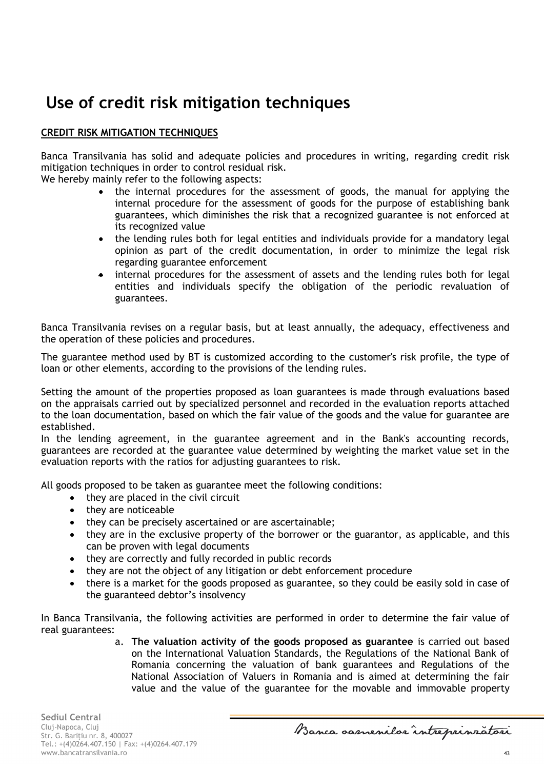# <span id="page-42-0"></span>**Use of credit risk mitigation techniques**

## **CREDIT RISK MITIGATION TECHNIQUES**

Banca Transilvania has solid and adequate policies and procedures in writing, regarding credit risk mitigation techniques in order to control residual risk.

We hereby mainly refer to the following aspects:

- the internal procedures for the assessment of goods, the manual for applying the internal procedure for the assessment of goods for the purpose of establishing bank guarantees, which diminishes the risk that a recognized guarantee is not enforced at its recognized value
- the lending rules both for legal entities and individuals provide for a mandatory legal opinion as part of the credit documentation, in order to minimize the legal risk regarding guarantee enforcement
- internal procedures for the assessment of assets and the lending rules both for legal entities and individuals specify the obligation of the periodic revaluation of guarantees.

Banca Transilvania revises on a regular basis, but at least annually, the adequacy, effectiveness and the operation of these policies and procedures.

The guarantee method used by BT is customized according to the customer's risk profile, the type of loan or other elements, according to the provisions of the lending rules.

Setting the amount of the properties proposed as loan guarantees is made through evaluations based on the appraisals carried out by specialized personnel and recorded in the evaluation reports attached to the loan documentation, based on which the fair value of the goods and the value for guarantee are established.

In the lending agreement, in the guarantee agreement and in the Bank's accounting records, guarantees are recorded at the guarantee value determined by weighting the market value set in the evaluation reports with the ratios for adjusting guarantees to risk.

All goods proposed to be taken as guarantee meet the following conditions:

- they are placed in the civil circuit
- they are noticeable
- they can be precisely ascertained or are ascertainable;
- they are in the exclusive property of the borrower or the guarantor, as applicable, and this can be proven with legal documents
- they are correctly and fully recorded in public records
- they are not the object of any litigation or debt enforcement procedure
- there is a market for the goods proposed as guarantee, so they could be easily sold in case of the guaranteed debtor's insolvency

In Banca Transilvania, the following activities are performed in order to determine the fair value of real guarantees:

> a. **The valuation activity of the goods proposed as guarantee** is carried out based on the International Valuation Standards, the Regulations of the National Bank of Romania concerning the valuation of bank guarantees and Regulations of the National Association of Valuers in Romania and is aimed at determining the fair value and the value of the guarantee for the movable and immovable property

Banca oasnenilor intreprinratori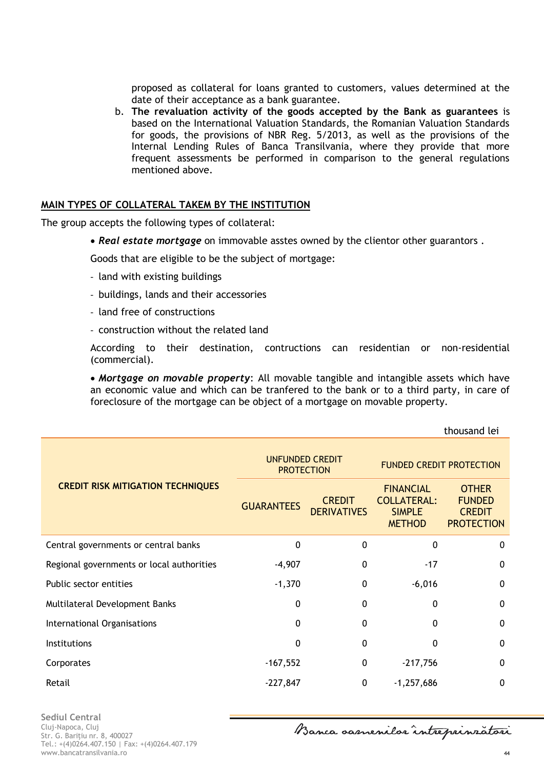proposed as collateral for loans granted to customers, values determined at the date of their acceptance as a bank guarantee.

b. **The revaluation activity of the goods accepted by the Bank as guarantees** is based on the International Valuation Standards, the Romanian Valuation Standards for goods, the provisions of NBR Reg. 5/2013, as well as the provisions of the Internal Lending Rules of Banca Transilvania, where they provide that more frequent assessments be performed in comparison to the general regulations mentioned above.

#### **MAIN TYPES OF COLLATERAL TAKEM BY THE INSTITUTION**

The group accepts the following types of collateral:

*Real estate mortgage* on immovable asstes owned by the clientor other guarantors .

Goods that are eligible to be the subject of mortgage:

- land with existing buildings
- buildings, lands and their accessories
- land free of constructions
- construction without the related land

According to their destination, contructions can residentian or non-residential (commercial).

 *Mortgage on movable property*: All movable tangible and intangible assets which have an economic value and which can be tranfered to the bank or to a third party, in care of foreclosure of the mortgage can be object of a mortgage on movable property.

|                                           |                                             |                                     |                                                                          | thousand lei                                                        |
|-------------------------------------------|---------------------------------------------|-------------------------------------|--------------------------------------------------------------------------|---------------------------------------------------------------------|
|                                           | <b>UNFUNDED CREDIT</b><br><b>PROTECTION</b> |                                     | <b>FUNDED CREDIT PROTECTION</b>                                          |                                                                     |
| <b>CREDIT RISK MITIGATION TECHNIQUES</b>  | <b>GUARANTEES</b>                           | <b>CREDIT</b><br><b>DERIVATIVES</b> | <b>FINANCIAL</b><br><b>COLLATERAL:</b><br><b>SIMPLE</b><br><b>METHOD</b> | <b>OTHER</b><br><b>FUNDED</b><br><b>CREDIT</b><br><b>PROTECTION</b> |
| Central governments or central banks      | 0                                           | $\mathbf{0}$                        | 0                                                                        | $\mathbf{0}$                                                        |
| Regional governments or local authorities | $-4,907$                                    | 0                                   | $-17$                                                                    | $\mathbf{0}$                                                        |
| Public sector entities                    | $-1,370$                                    | $\mathbf 0$                         | $-6,016$                                                                 | 0                                                                   |
| Multilateral Development Banks            | $\mathbf{0}$                                | $\mathbf{0}$                        | 0                                                                        | 0                                                                   |
| International Organisations               | $\mathbf{0}$                                | $\mathbf{0}$                        | 0                                                                        | $\mathbf{0}$                                                        |
| <b>Institutions</b>                       | $\mathbf 0$                                 | 0                                   | 0                                                                        | 0                                                                   |
| Corporates                                | $-167,552$                                  | 0                                   | $-217,756$                                                               | $\mathbf{0}$                                                        |
| Retail                                    | $-227,847$                                  | $\mathbf{0}$                        | $-1,257,686$                                                             | $\mathbf{0}$                                                        |

Banca oasnenilor intreprinratori